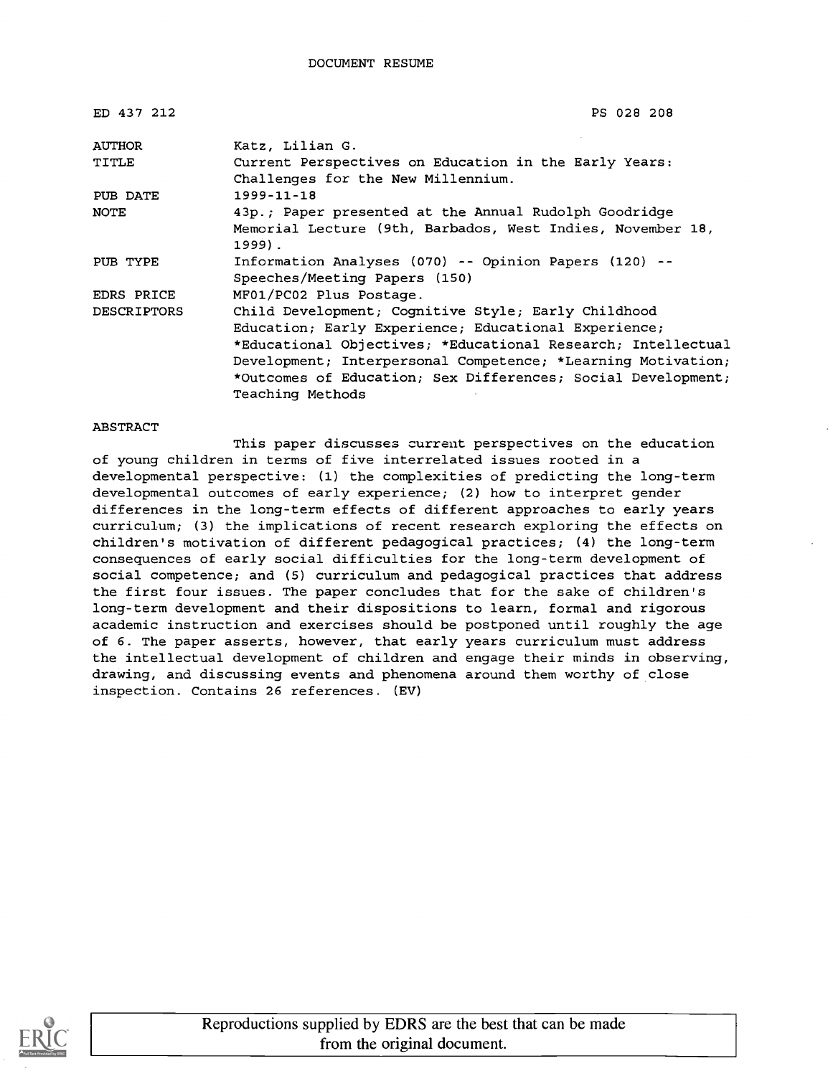| ED 437 212         | PS 028 208                                                                                  |  |
|--------------------|---------------------------------------------------------------------------------------------|--|
| <b>AUTHOR</b>      | Katz, Lilian G.                                                                             |  |
| TITLE              | Current Perspectives on Education in the Early Years:<br>Challenges for the New Millennium. |  |
| PUB DATE           | $1999 - 11 - 18$                                                                            |  |
| <b>NOTE</b>        | 43p.; Paper presented at the Annual Rudolph Goodridge                                       |  |
|                    | Memorial Lecture (9th, Barbados, West Indies, November 18,<br>$1999$ .                      |  |
| PUB TYPE           | Information Analyses (070) -- Opinion Papers (120) --<br>Speeches/Meeting Papers (150)      |  |
| EDRS PRICE         | MF01/PC02 Plus Postage.                                                                     |  |
| <b>DESCRIPTORS</b> | Child Development; Cognitive Style; Early Childhood                                         |  |
|                    | Education; Early Experience; Educational Experience;                                        |  |
|                    | *Educational Objectives; *Educational Research; Intellectual                                |  |
|                    | Development; Interpersonal Competence; *Learning Motivation;                                |  |
|                    | *Outcomes of Education; Sex Differences; Social Development;                                |  |
|                    | Teaching Methods                                                                            |  |

#### ABSTRACT

This paper discusses current perspectives on the education of young children in terms of five interrelated issues rooted in a developmental perspective: (1) the complexities of predicting the long-term developmental outcomes of early experience; (2) how to interpret gender differences in the long-term effects of different approaches to early years curriculum; (3) the implications of recent research exploring the effects on children's motivation of different pedagogical practices; (4) the long-term consequences of early social difficulties for the long-term development of social competence; and (5) curriculum and pedagogical practices that address the first four issues. The paper concludes that for the sake of children's long-term development and their dispositions to learn, formal and rigorous academic instruction and exercises should be postponed until roughly the age of 6. The paper asserts, however, that early years curriculum must address the intellectual development of children and engage their minds in observing, drawing, and discussing events and phenomena around them worthy of close inspection. Contains 26 references. (EV)

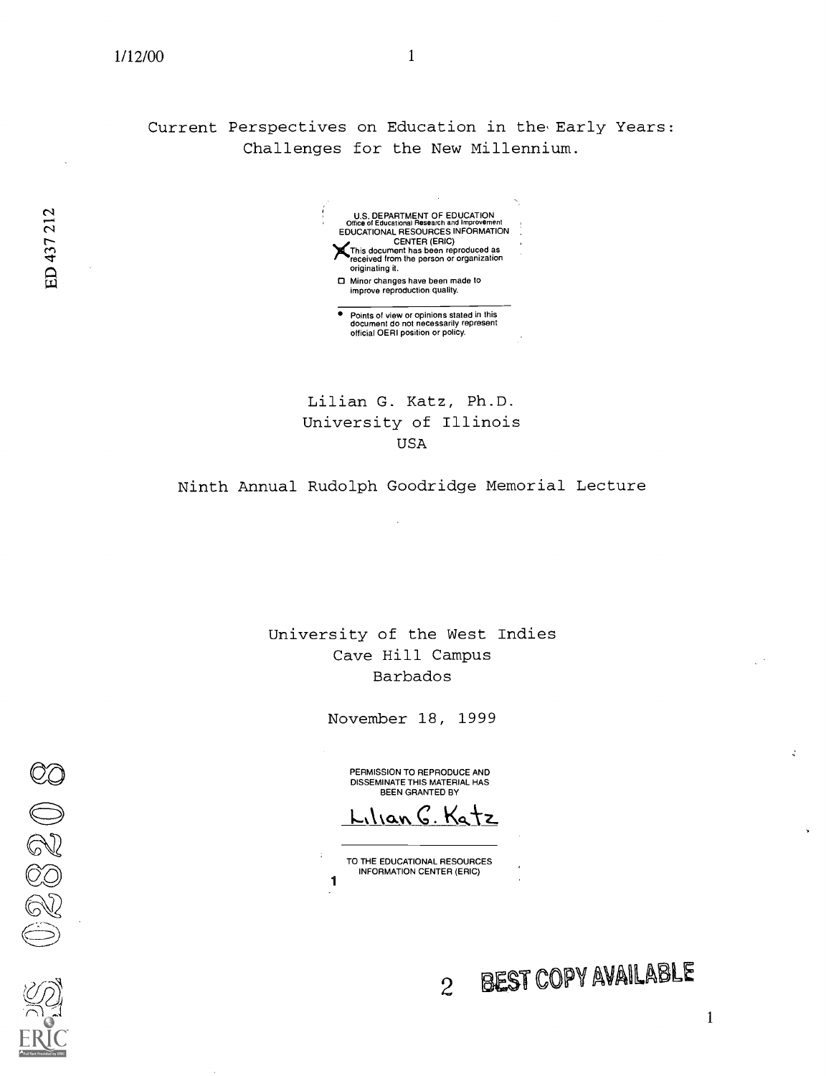Current Perspectives on Education in the Early Years: Challenges for the New Millennium.

N U.S. DEPARTMENT OF EDUCATION Office of Educational Research and Improvement EDUCATIONAL RESOURCES INFORMATION<br>CENTER (ERIC)<br>Notes that the center of the center of the center of the center of the center of the center of the center of the center of the center of the center of the center of the cente  $\Gamma$  )  $\Gamma$  This document has been reproduced as  $\Gamma$  received from the person or organization originating it. D Minor changes have been made to improve reproduction quality. Points of view or opinions stated in this document do not necessarily represent official OERI position or policy.

Lilian G. Katz, Ph.D. University of Illinois USA

Ninth Annual Rudolph Goodridge Memorial Lecture

University of the West Indies Cave Hill Campus Barbados

November 18, 1999

PERMISSION TO REPRODUCE AND DISSEMINATE THIS MATERIAL HAS BEEN GRANTED BY

Ilian G. Katz

TO THE EDUCATIONAL RESOURCES INFORMATION CENTER (ERIC) 1

1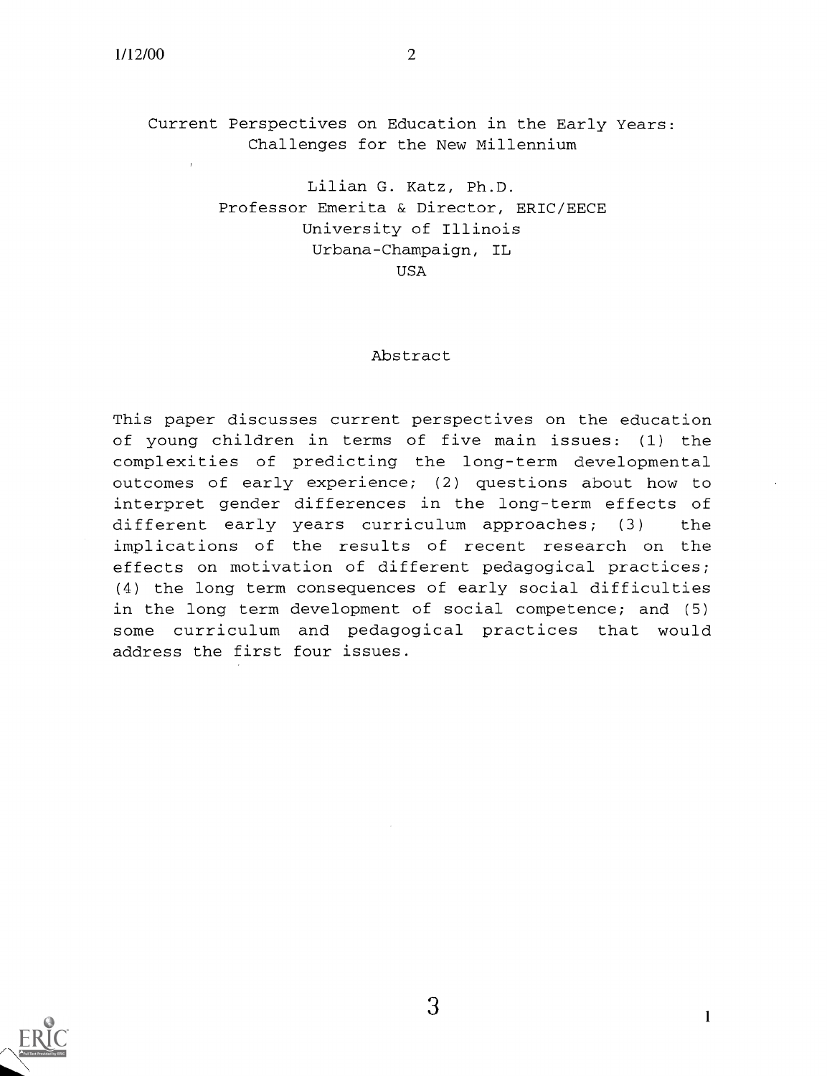Current Perspectives on Education in the Early Years: Challenges for the New Millennium

> Lilian G. Katz, Ph.D. Professor Emerita & Director, ERIC/EECE University of Illinois Urbana-Champaign, IL USA

#### Abstract

This paper discusses current perspectives on the education of young children in terms of five main issues: (1) the complexities of predicting the long-term developmental outcomes of early experience; (2) questions about how to interpret gender differences in the long-term effects of different early years curriculum approaches; (3) the implications of the results of recent research on the effects on motivation of different pedagogical practices; (4) the long term consequences of early social difficulties in the long term development of social competence; and (5) some curriculum and pedagogical practices that would address the first four issues.



 $3 \hspace{2.5cm}$  1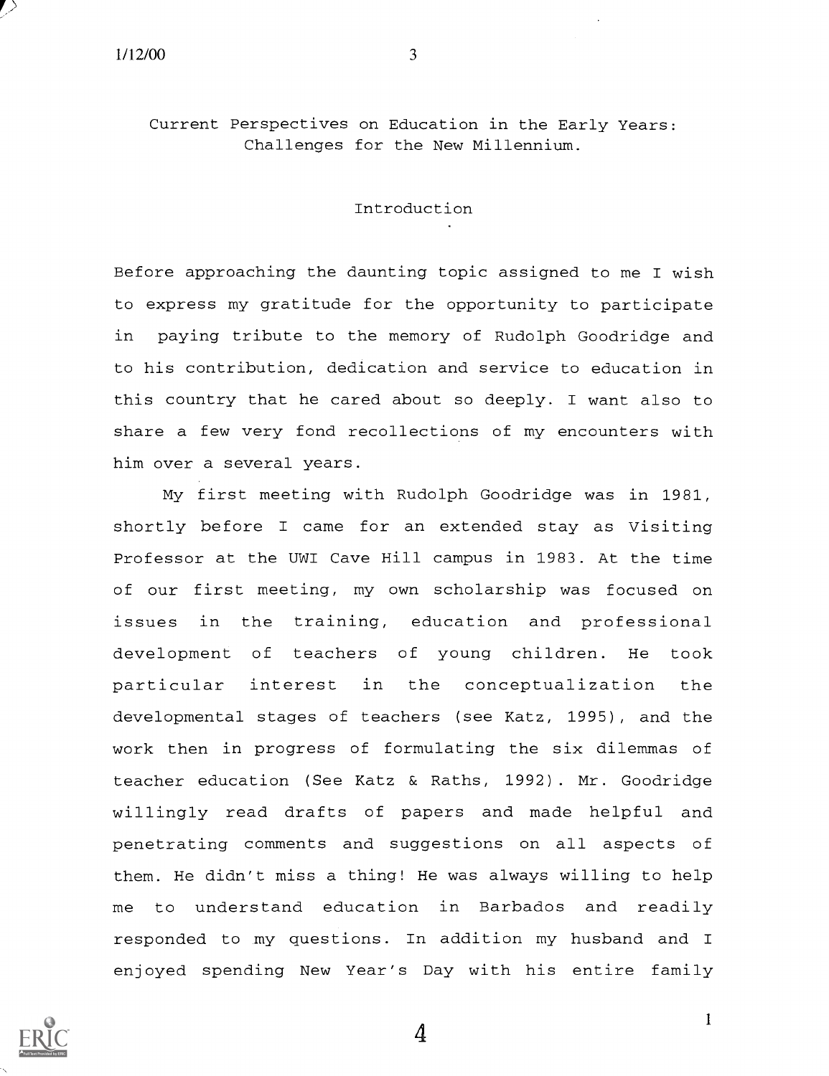Current Perspectives on Education in the Early Years: Challenges for the New Millennium.

Introduction

Before approaching the daunting topic assigned to me I wish to express my gratitude for the opportunity to participate in paying tribute to the memory of Rudolph Goodridge and to his contribution, dedication and service to education in this country that he cared about so deeply. I want also to share a few very fond recollections of my encounters with him over a several years.

My first meeting with Rudolph Goodridge was in 1981, shortly before <sup>I</sup> came for an extended stay as Visiting Professor at the UWI Cave Hill campus in 1983. At the time of our first meeting, my own scholarship was focused on issues in the training, education and professional development of teachers of young children. He took particular interest in the conceptualization the developmental stages of teachers (see Katz, 1995), and the work then in progress of formulating the six dilemmas of teacher education (See Katz & Raths, 1992). Mr. Goodridge willingly read drafts of papers and made helpful and penetrating comments and suggestions on all aspects of them. He didn't miss a thing! He was always willing to help me to understand education in Barbados and readily responded to my questions. In addition my husband and I enjoyed spending New Year's Day with his entire family

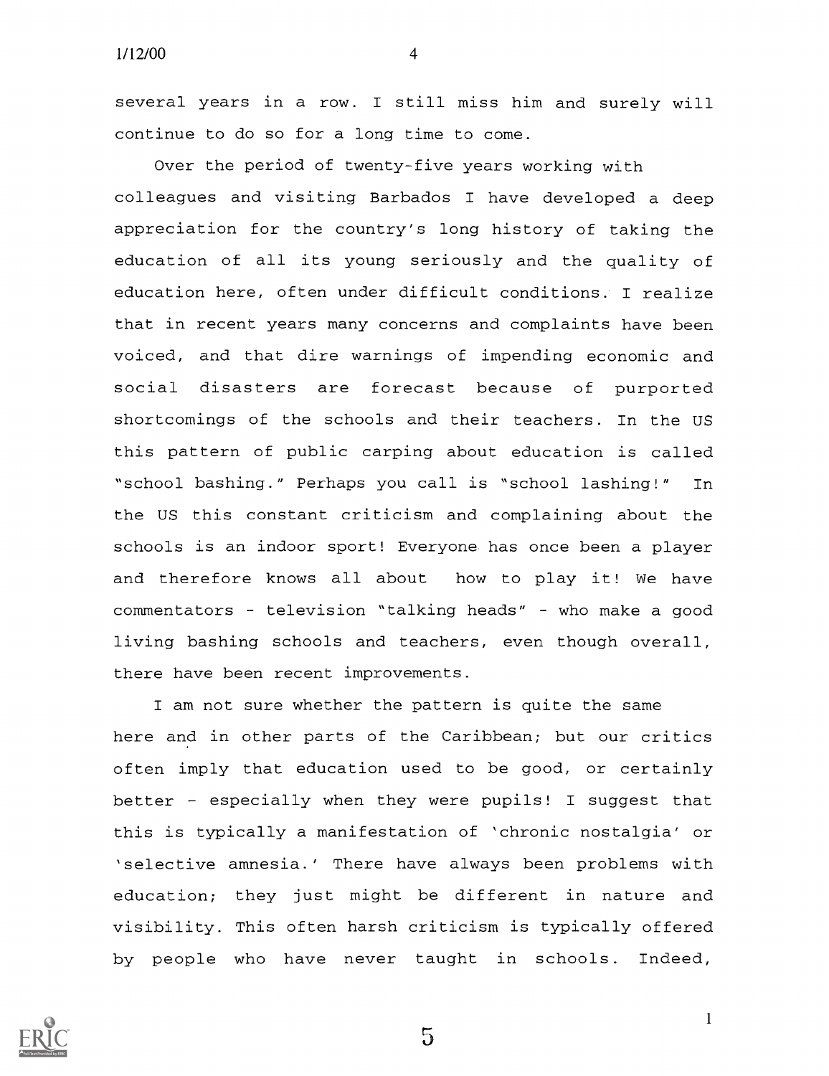several years in a row. I still miss him and surely will continue to do so for a long time to come.

Over the period of twenty-five years working with colleagues and visiting Barbados I have developed a deep appreciation for the country's long history of taking the education of all its young seriously and the quality of education here, often under difficult conditions. I realize that in recent years many concerns and complaints have been voiced, and that dire warnings of impending economic and social disasters are forecast because of purported shortcomings of the schools and their teachers. In the US this pattern of public carping about education is called "school bashing." Perhaps you call is "school lashing!" In the US this constant criticism and complaining about the schools is an indoor sport! Everyone has once been a player and therefore knows all about how to play it! We have commentators - television "talking heads" - who make a good living bashing schools and teachers, even though overall, there have been recent improvements.

I am not sure whether the pattern is quite the same here and in other parts of the Caribbean; but our critics often imply that education used to be good, or certainly better - especially when they were pupils! I suggest that this is typically a manifestation of 'chronic nostalgia' or `selective amnesia.' There have always been problems with education; they just might be different in nature and visibility. This often harsh criticism is typically offered by people who have never taught in schools. Indeed,

5

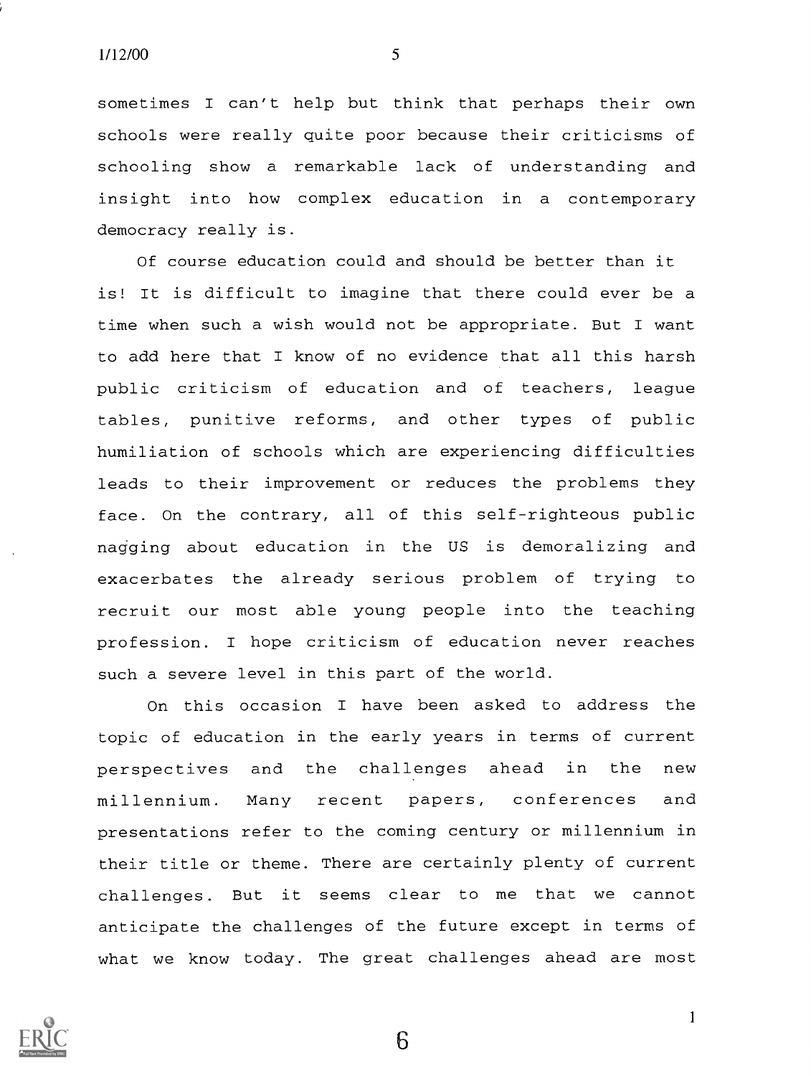sometimes I can't help but think that perhaps their own schools were really quite poor because their criticisms of schooling show a remarkable lack of understanding and insight into how complex education in a contemporary democracy really is.

Of course education could and should be better than it is! It is difficult to imagine that there could ever be a time when such a wish would not be appropriate. But I want to add here that I know of no evidence that all this harsh public criticism of education and of teachers, league tables, punitive reforms, and other types of public humiliation of schools which are experiencing difficulties leads to their improvement or reduces the problems they face. On the contrary, all of this self-righteous public nagging about education in the US is demoralizing and exacerbates the already serious problem of trying to recruit our most able young people into the teaching profession. I hope criticism of education never reaches such a severe level in this part of the world.

On this occasion I have been asked to address the topic of education in the early years in terms of current perspectives and the challenges ahead in the new millennium. Many recent papers, conferences and presentations refer to the coming century or millennium in their title or theme. There are certainly plenty of current challenges. But it seems clear to me that we cannot anticipate the challenges of the future except in terms of what we know today. The great challenges ahead are most

6

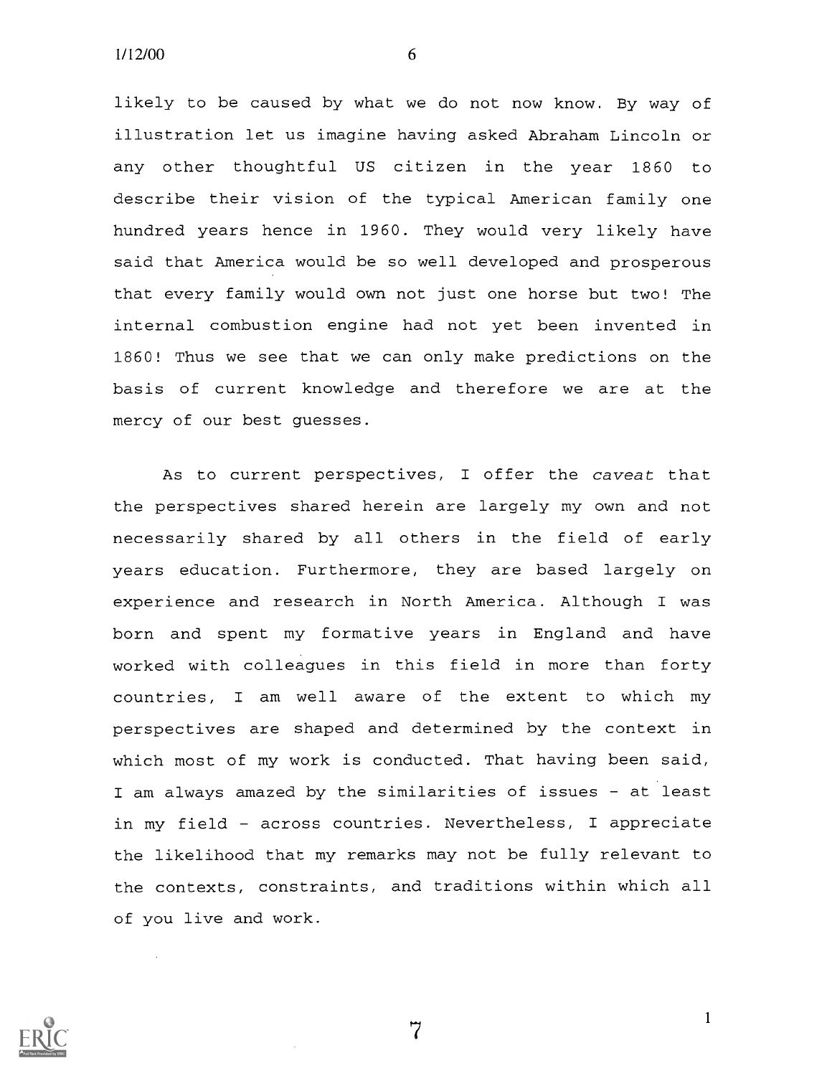likely to be caused by what we do not now know. By way of illustration let us imagine having asked Abraham Lincoln or any other thoughtful US citizen in the year 1860 to describe their vision of the typical American family one hundred years hence in 1960. They would very likely have said that America would be so well developed and prosperous that every family would own not just one horse but two! The internal combustion engine had not yet been invented in 1860! Thus we see that we can only make predictions on the basis of current knowledge and therefore we are at the mercy of our best guesses.

As to current perspectives, I offer the caveat that the perspectives shared herein are largely my own and not necessarily shared by all others in the field of early years education. Furthermore, they are based largely on experience and research in North America. Although I was born and spent my formative years in England and have worked with colleagues in this field in more than forty countries, <sup>I</sup> am well aware of the extent to which my perspectives are shaped and determined by the context in which most of my work is conducted. That having been said, I am always amazed by the similarities of issues - at least in my field across countries. Nevertheless, I appreciate the likelihood that my remarks may not be fully relevant to the contexts, constraints, and traditions within which all of you live and work.

7

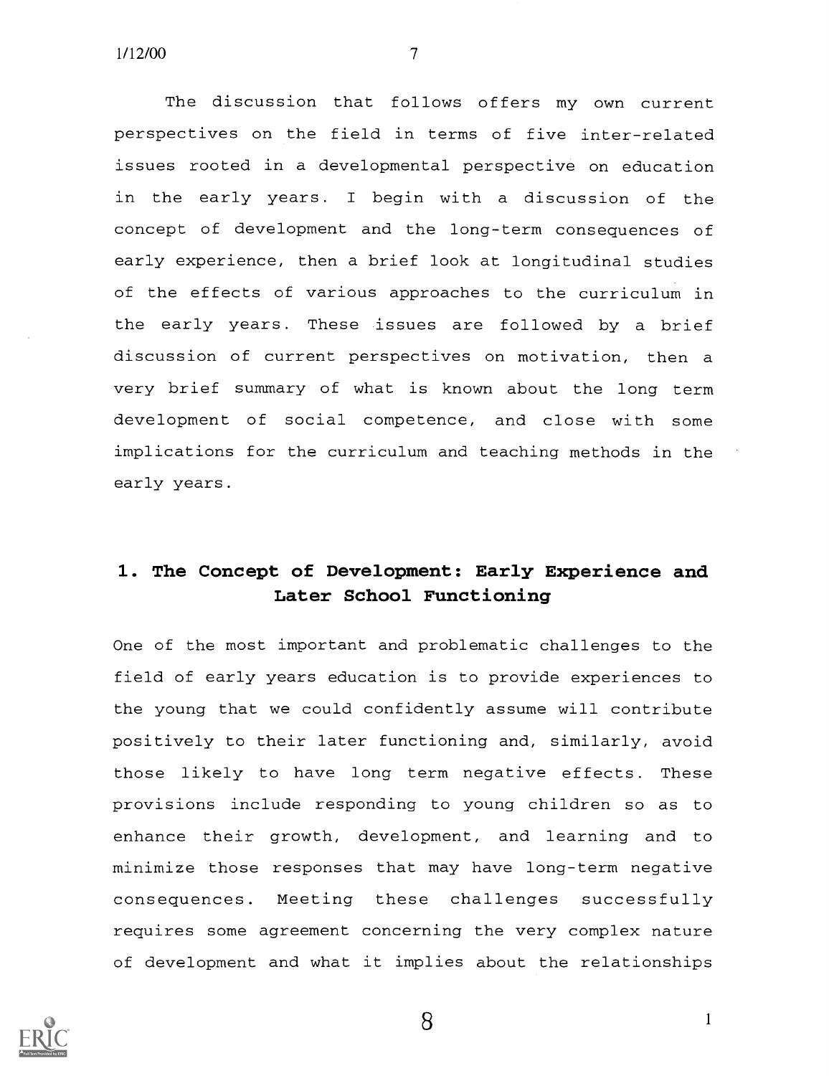The discussion that follows offers my own current perspectives on the field in terms of five inter-related issues rooted in a developmental perspective on education in the early years. <sup>I</sup> begin with a discussion of the concept of development and the long-term consequences of early experience, then a brief look at longitudinal studies of the effects of various approaches to the curriculum in the early years. These issues are followed by a brief discussion of current perspectives on motivation, then a very brief summary of what is known about the long term development of social competence, and close with some implications for the curriculum and teaching methods in the early years.

## 1. The Concept of Development: Early Experience and Later School Functioning

One of the most important and problematic challenges to the field of early years education is to provide experiences to the young that we could confidently assume will contribute positively to their later functioning and, similarly, avoid those likely to have long term negative effects. These provisions include responding to young children so as to enhance their growth, development, and learning and to minimize those responses that may have long-term negative consequences. Meeting these challenges successfully requires some agreement concerning the very complex nature of development and what it implies about the relationships



8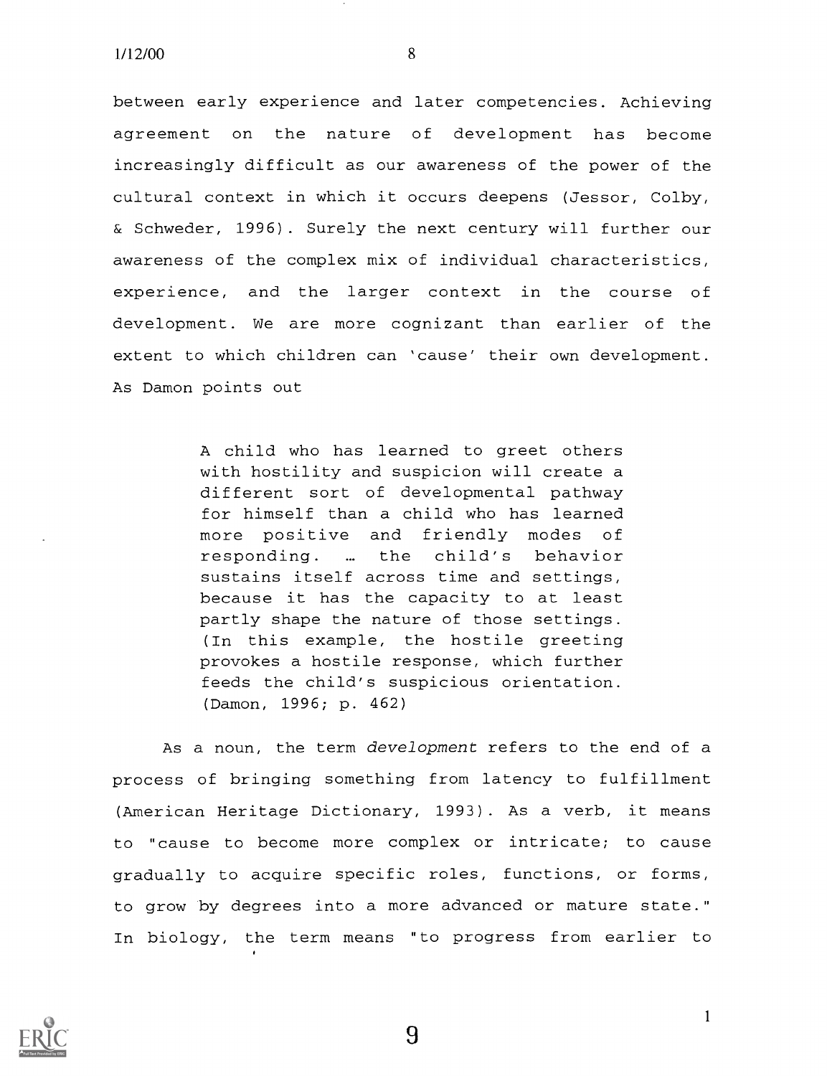between early experience and later competencies. Achieving agreement on the nature of development has become increasingly difficult as our awareness of the power of the cultural context in which it occurs deepens (Jessor, Colby, & Schweder, 1996). Surely the next century will further our awareness of the complex mix of individual characteristics, experience, and the larger context in the course of development. We are more cognizant than earlier of the extent to which children can 'cause' their own development. As Damon points out

> A child who has learned to greet others with hostility and suspicion will create a different sort of developmental pathway for himself than a child who has learned more positive and friendly modes of responding. ... the child's behavior sustains itself across time and settings, because it has the capacity to at least partly shape the nature of those settings. (In this example, the hostile greeting provokes a hostile response, which further feeds the child's suspicious orientation. (Damon, 1996; p. 462)

As a noun, the term development refers to the end of a process of bringing something from latency to fulfillment (American Heritage Dictionary, 1993). As a verb, it means to "cause to become more complex or intricate; to cause gradually to acquire specific roles, functions, or forms, to grow by degrees into a more advanced or mature state." In biology, the term means "to progress from earlier to



9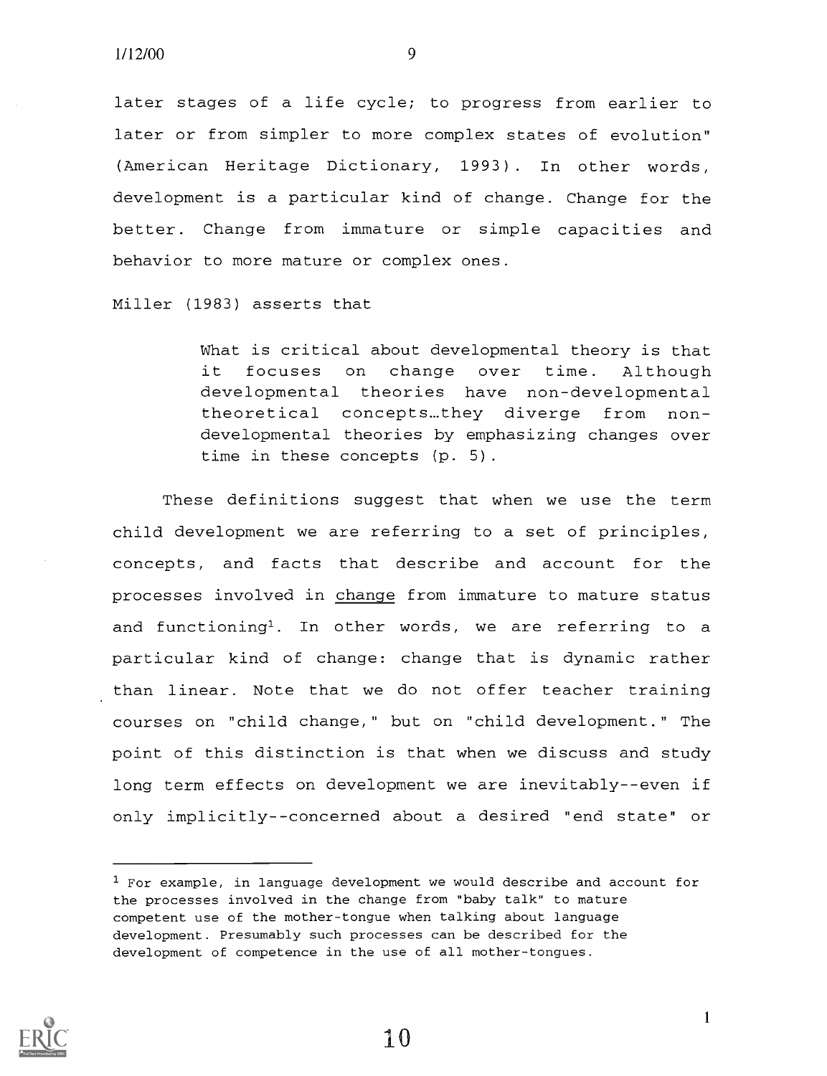later stages of a life cycle; to progress from earlier to later or from simpler to more complex states of evolution" (American Heritage Dictionary, 1993). In other words, development is a particular kind of change. Change for the better. Change from immature or simple capacities and behavior to more mature or complex ones.

Miller (1983) asserts that

What is critical about developmental theory is that it focuses on change over time. Although developmental theories have non-developmental theoretical concepts...they diverge from nondevelopmental theories by emphasizing changes over time in these concepts (p. 5).

These definitions suggest that when we use the term child development we are referring to a set of principles, concepts, and facts that describe and account for the processes involved in change from immature to mature status and functioning'. In other words, we are referring to a particular kind of change: change that is dynamic rather than linear. Note that we do not offer teacher training courses on "child change," but on "child development." The point of this distinction is that when we discuss and study long term effects on development we are inevitably--even if only implicitly--concerned about a desired "end state" or



10

 $1$  For example, in language development we would describe and account for the processes involved in the change from "baby talk" to mature competent use of the mother-tongue when talking about language development. Presumably such processes can be described for the development of competence in the use of all mother-tongues.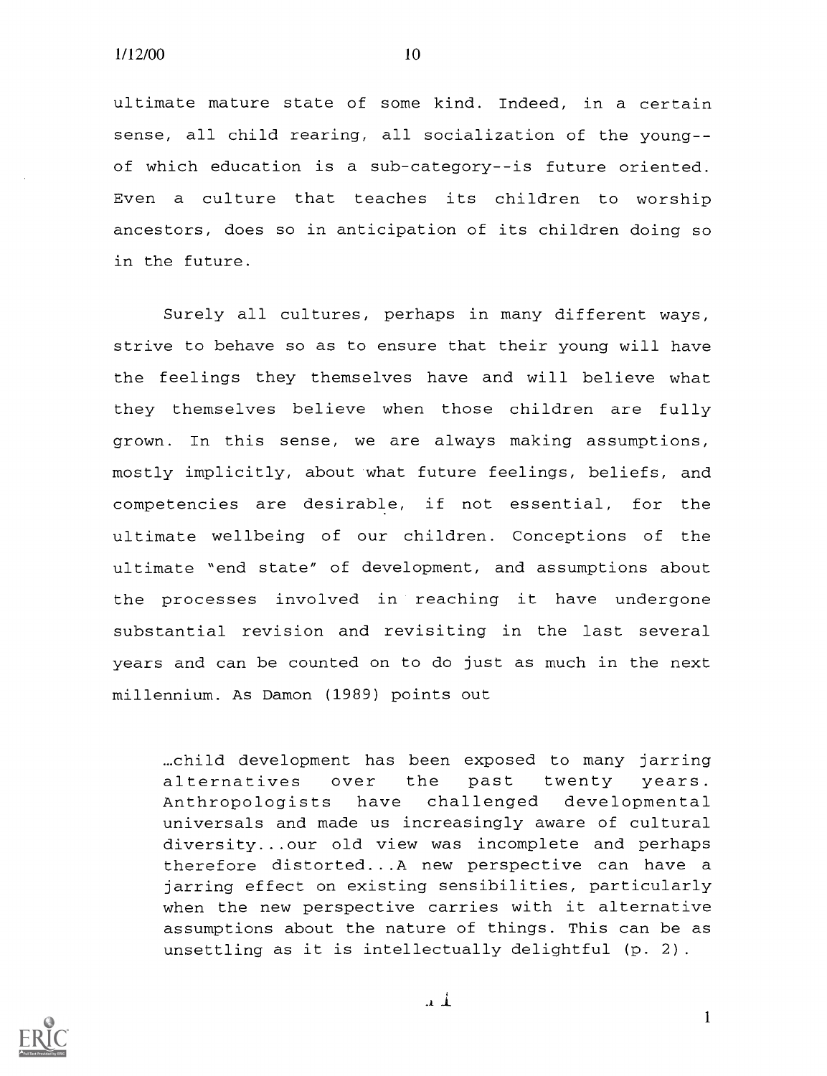ultimate mature state of some kind. Indeed, in a certain sense, all child rearing, all socialization of the youngof which education is a sub-category--is future oriented. Even a culture that teaches its children to worship ancestors, does so in anticipation of its children doing so in the future.

Surely all cultures, perhaps in many different ways, strive to behave so as to ensure that their young will have the feelings they themselves have and will believe what they themselves believe when those children are fully grown. In this sense, we are always making assumptions, mostly implicitly, about what future feelings, beliefs, and competencies are desirable, if not essential, for the ultimate wellbeing of our children. Conceptions of the ultimate "end state" of development, and assumptions about the processes involved in reaching it have undergone substantial revision and revisiting in the last several years and can be counted on to do just as much in the next millennium. As Damon (1989) points out

...child development has been exposed to many jarring alternatives over the past twenty years. Anthropologists have challenged developmental universals and made us increasingly aware of cultural diversity...our old view was incomplete and perhaps therefore distorted...A new perspective can have a jarring effect on existing sensibilities, particularly when the new perspective carries with it alternative assumptions about the nature of things. This can be as unsettling as it is intellectually delightful (p. 2).



.11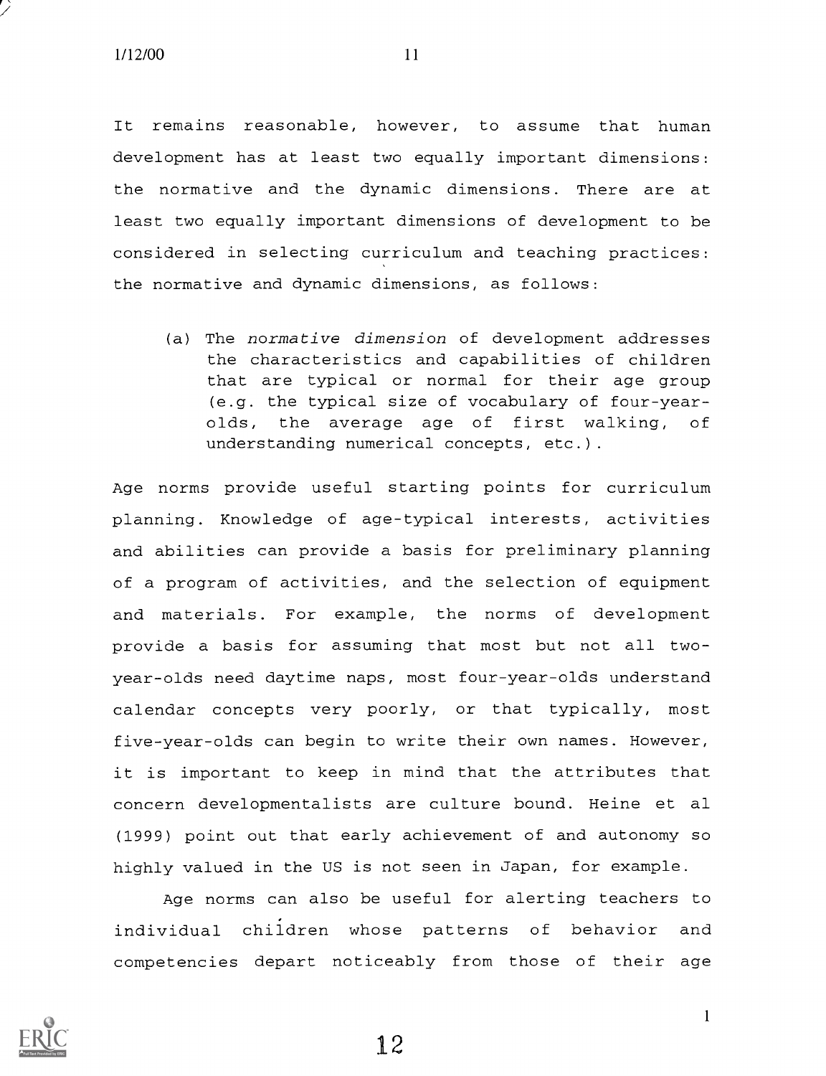It remains reasonable, however, to assume that human development has at least two equally important dimensions: the normative and the dynamic dimensions. There are at least two equally important dimensions of development to be considered in selecting curriculum and teaching practices: the normative and dynamic dimensions, as follows:

(a) The normative dimension of development addresses the characteristics and capabilities of children that are typical or normal for their age group (e.g. the typical size of vocabulary of four-yearolds, the average age of first walking, of understanding numerical concepts, etc.).

Age norms provide useful starting points for curriculum planning. Knowledge of age-typical interests, activities and abilities can provide a basis for preliminary planning of a program of activities, and the selection of equipment and materials. For example, the norms of development provide a basis for assuming that most but not all twoyear-olds need daytime naps, most four-year-olds understand calendar concepts very poorly, or that typically, most five-year-olds can begin to write their own names. However, it is important to keep in mind that the attributes that concern developmentalists are culture bound. Heine et al (1999) point out that early achievement of and autonomy so highly valued in the US is not seen in Japan, for example.

Age norms can also be useful for alerting teachers to individual children whose patterns of behavior and competencies depart noticeably from those of their age



1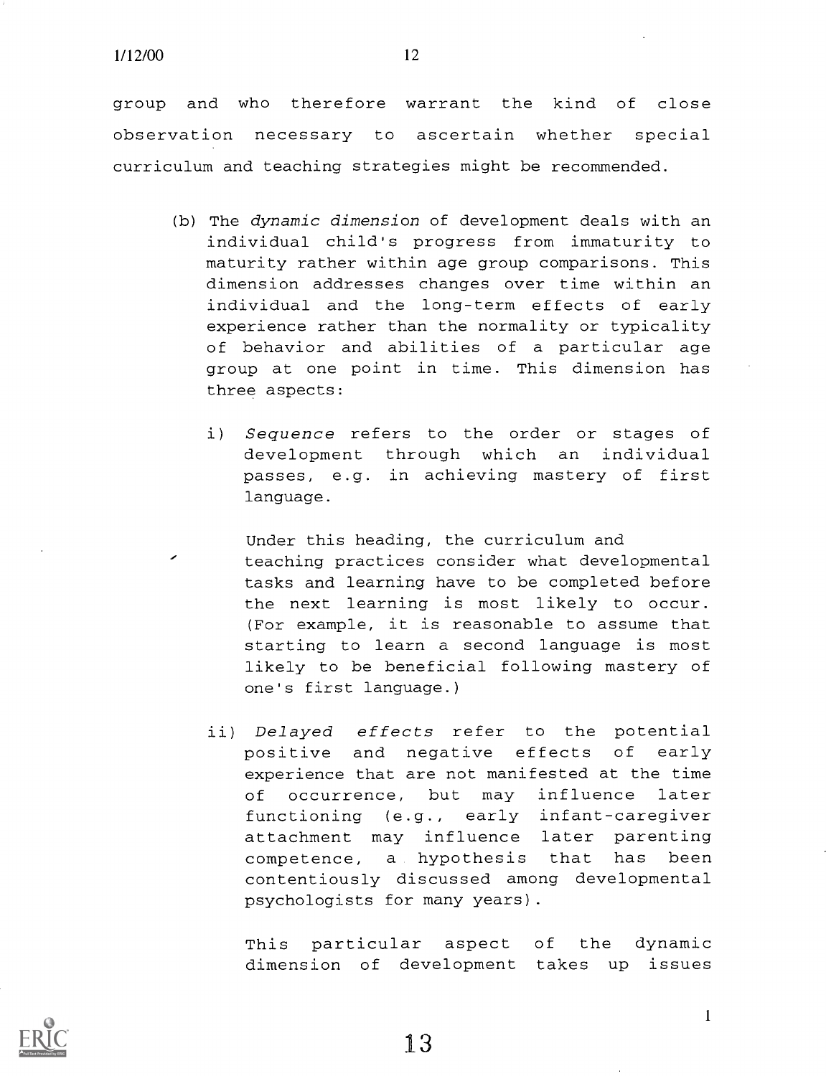group and who therefore warrant the kind of close observation necessary to ascertain whether special curriculum and teaching strategies might be recommended.

- (b) The dynamic dimension of development deals with an individual child's progress from immaturity to maturity rather within age group comparisons. This dimension addresses changes over time within an individual and the long-term effects of early experience rather than the normality or typicality of behavior and abilities of a particular age group at one point in time. This dimension has three aspects:
	- i) Sequence refers to the order or stages of development through which an individual passes, e.g. in achieving mastery of first language.
		- Under this heading, the curriculum and teaching practices consider what developmental tasks and learning have to be completed before the next learning is most likely to occur. (For example, it is reasonable to assume that starting to learn a second language is most likely to be beneficial following mastery of one's first language.)
	- ii) Delayed effects refer to the potential positive and negative effects of early experience that are not manifested at the time of occurrence, but may influence later functioning (e.g., early infant-caregiver attachment may influence later parenting competence, a hypothesis that has been contentiously discussed among developmental psychologists for many years).

This particular aspect of the dynamic dimension of development takes up issues



13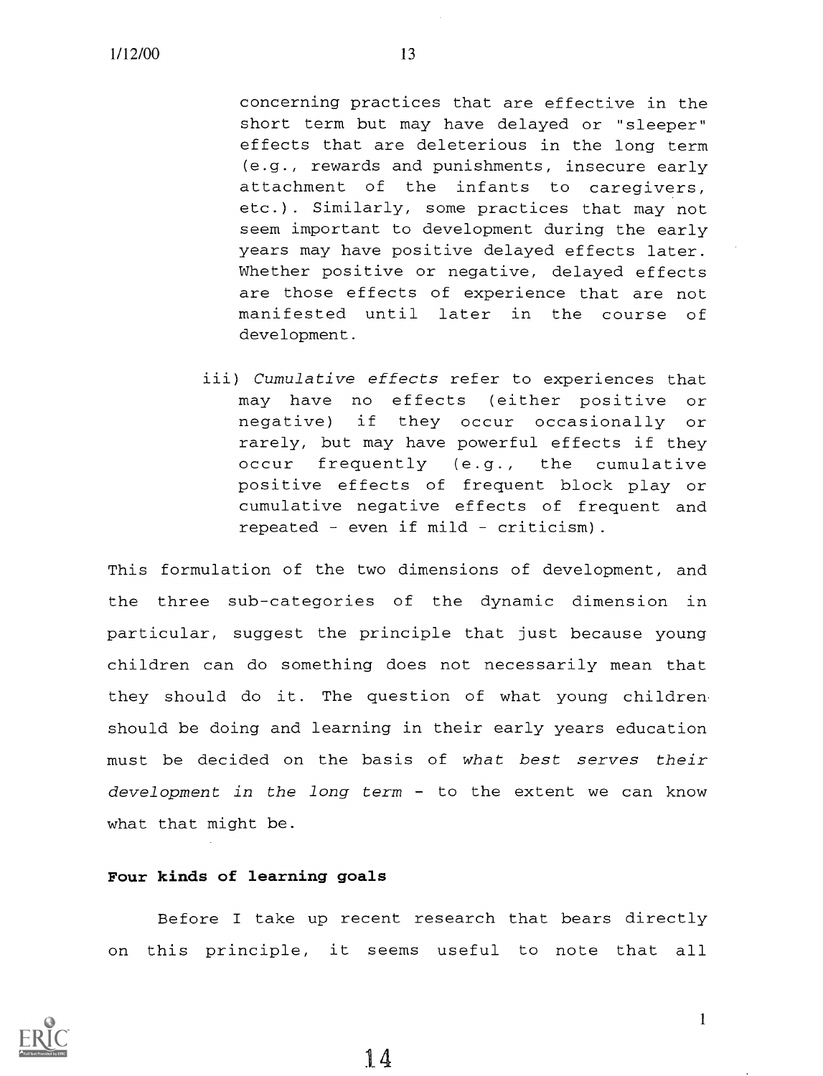concerning practices that are effective in the short term but may have delayed or "sleeper" effects that are deleterious in the long term (e.g., rewards and punishments, insecure early attachment of the infants to caregivers, etc.). Similarly, some practices that may not seem important to development during the early years may have positive delayed effects later. Whether positive or negative, delayed effects are those effects of experience that are not manifested until later in the course of development.

iii) Cumulative effects refer to experiences that may have no effects (either positive or negative) if they occur occasionally or rarely, but may have powerful effects if they occur frequently (e.g., the cumulative positive effects of frequent block play or cumulative negative effects of frequent and repeated - even if mild - criticism).

This formulation of the two dimensions of development, and the three sub-categories of the dynamic dimension in particular, suggest the principle that just because young children can do something does not necessarily mean that they should do it. The question of what young children should be doing and learning in their early years education must be decided on the basis of what best serves their development in the long term  $-$  to the extent we can know what that might be.

#### Four kinds of learning goals

Before I take up recent research that bears directly on this principle, it seems useful to note that all



1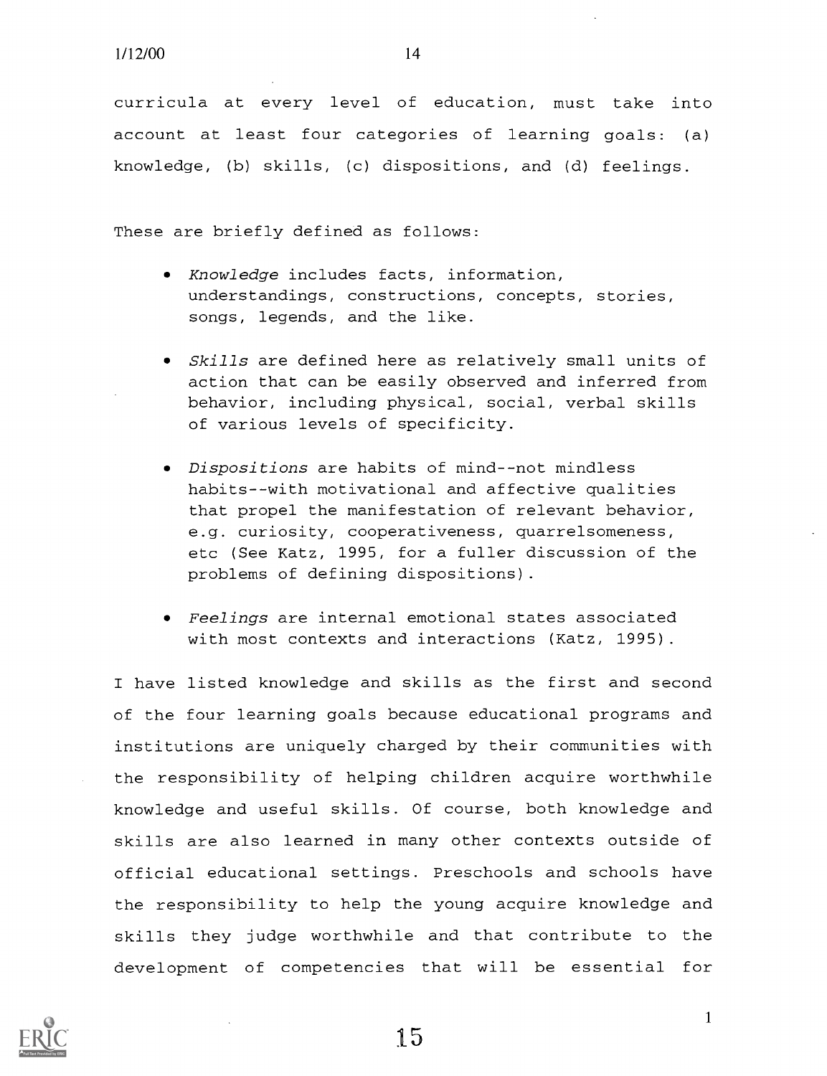curricula at every level of education, must take into account at least four categories of learning goals: (a) knowledge, (b) skills, (c) dispositions, and (d) feelings.

These are briefly defined as follows:

- Knowledge includes facts, information, understandings, constructions, concepts, stories, songs, legends, and the like.
- Skills are defined here as relatively small units of action that can be easily observed and inferred from behavior, including physical, social, verbal skills of various levels of specificity.
- Dispositions are habits of mind--not mindless habits--with motivational and affective qualities that propel the manifestation of relevant behavior, e.g. curiosity, cooperativeness, quarrelsomeness, etc (See Katz, 1995, for a fuller discussion of the problems of defining dispositions).
- Feelings are internal emotional states associated with most contexts and interactions (Katz, 1995).

I have listed knowledge and skills as the first and second of the four learning goals because educational programs and institutions are uniquely charged by their communities with the responsibility of helping children acquire worthwhile knowledge and useful skills. Of course, both knowledge and skills are also learned in many other contexts outside of official educational settings. Preschools and schools have the responsibility to help the young acquire knowledge and skills they judge worthwhile and that contribute to the development of competencies that will be essential for

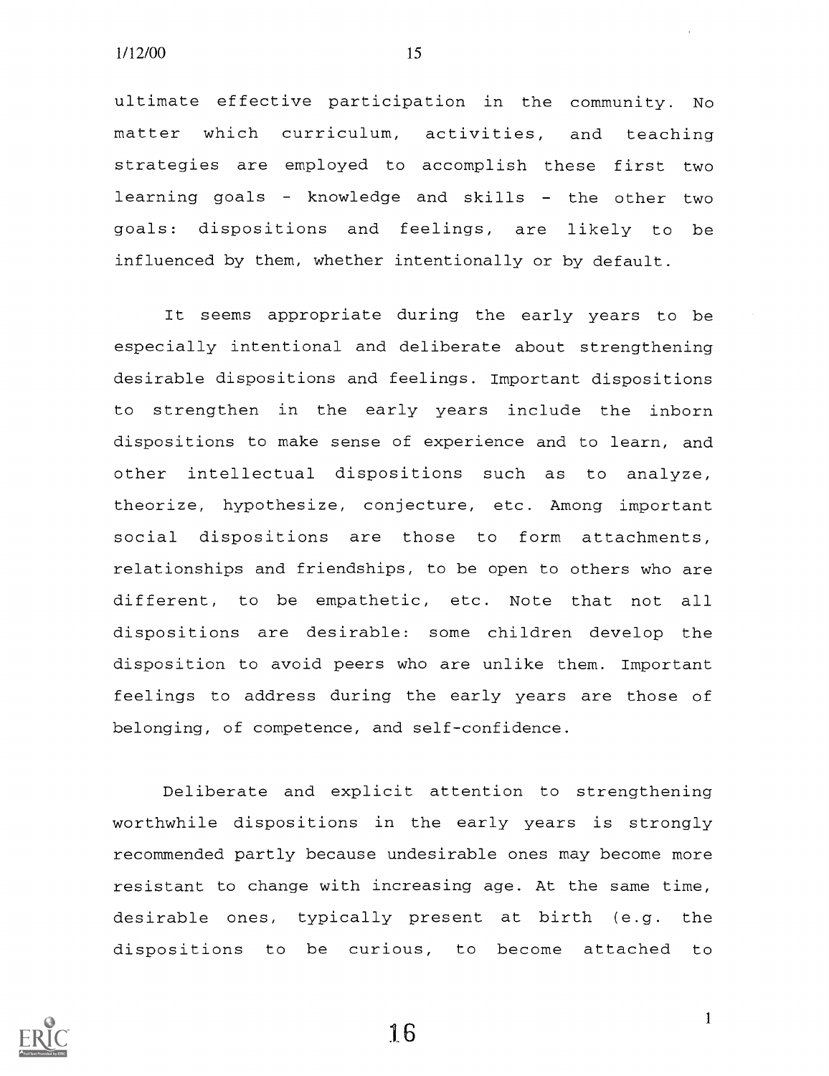ultimate effective participation in the community. No matter which curriculum, activities, and teaching strategies are employed to accomplish these first two learning goals - knowledge and skills - the other two goals: dispositions and feelings, are likely to be influenced by them, whether intentionally or by default.

It seems appropriate during the early years to be especially intentional and deliberate about strengthening desirable dispositions and feelings. Important dispositions to strengthen in the early years include the inborn dispositions to make sense of experience and to learn, and other intellectual dispositions such as to analyze, theorize, hypothesize, conjecture, etc. Among important social dispositions are those to form attachments, relationships and friendships, to be open to others who are different, to be empathetic, etc. Note that not all dispositions are desirable: some children develop the disposition to avoid peers who are unlike them. Important feelings to address during the early years are those of belonging, of competence, and self-confidence.

Deliberate and explicit attention to strengthening worthwhile dispositions in the early years is strongly recommended partly because undesirable ones may become more resistant to change with increasing age. At the same time, desirable ones, typically present at birth (e.g. the dispositions to be curious, to become attached to



1.6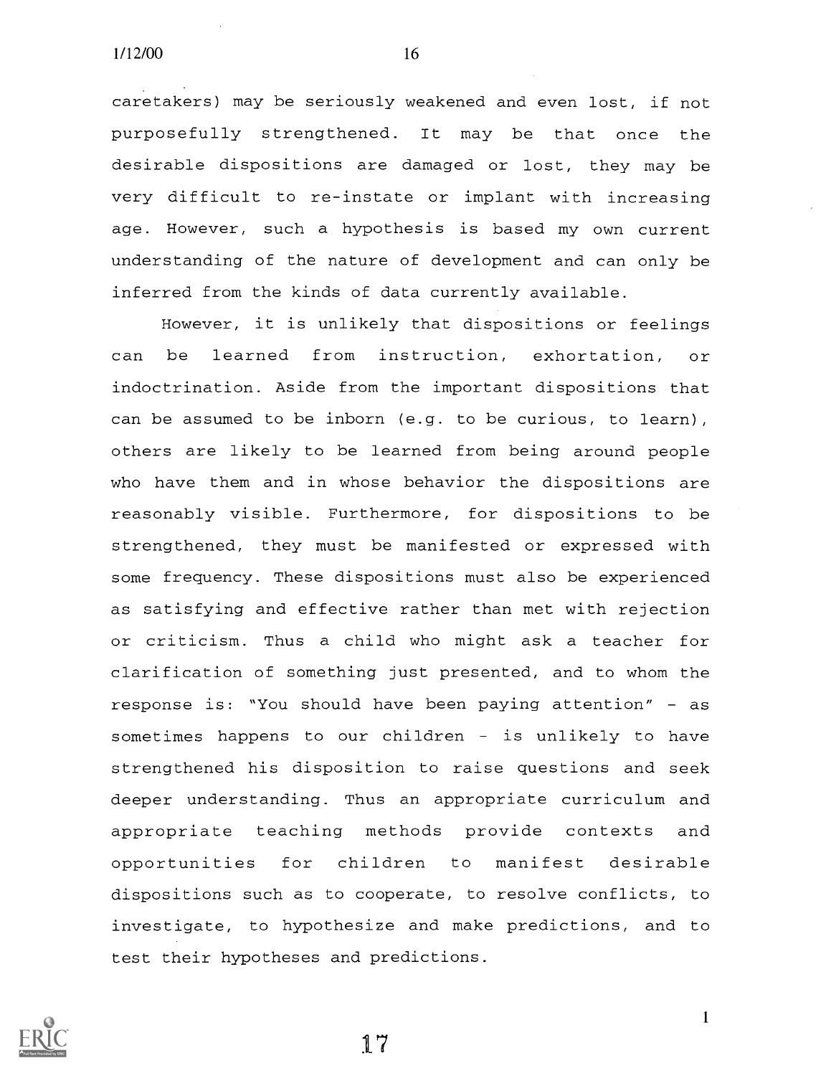caretakers) may be seriously weakened and even lost, if not purposefully strengthened. It may be that once the desirable dispositions are damaged or lost, they may be very difficult to re-instate or implant with increasing age. However, such a hypothesis is based my own current understanding of the nature of development and can only be inferred from the kinds of data currently available.

However, it is unlikely that dispositions or feelings can be learned from instruction, exhortation, or indoctrination. Aside from the important dispositions that can be assumed to be inborn (e.g. to be curious, to learn), others are likely to be learned from being around people who have them and in whose behavior the dispositions are reasonably visible. Furthermore, for dispositions to be strengthened, they must be manifested or expressed with some frequency. These dispositions must also be experienced as satisfying and effective rather than met with rejection or criticism. Thus a child who might ask a teacher for clarification of something just presented, and to whom the response is: "You should have been paying attention" as sometimes happens to our children - is unlikely to have strengthened his disposition to raise questions and seek deeper understanding. Thus an appropriate curriculum and appropriate teaching methods provide contexts and opportunities for children to manifest desirable dispositions such as to cooperate, to resolve conflicts, to investigate, to hypothesize and make predictions, and to test their hypotheses and predictions.



1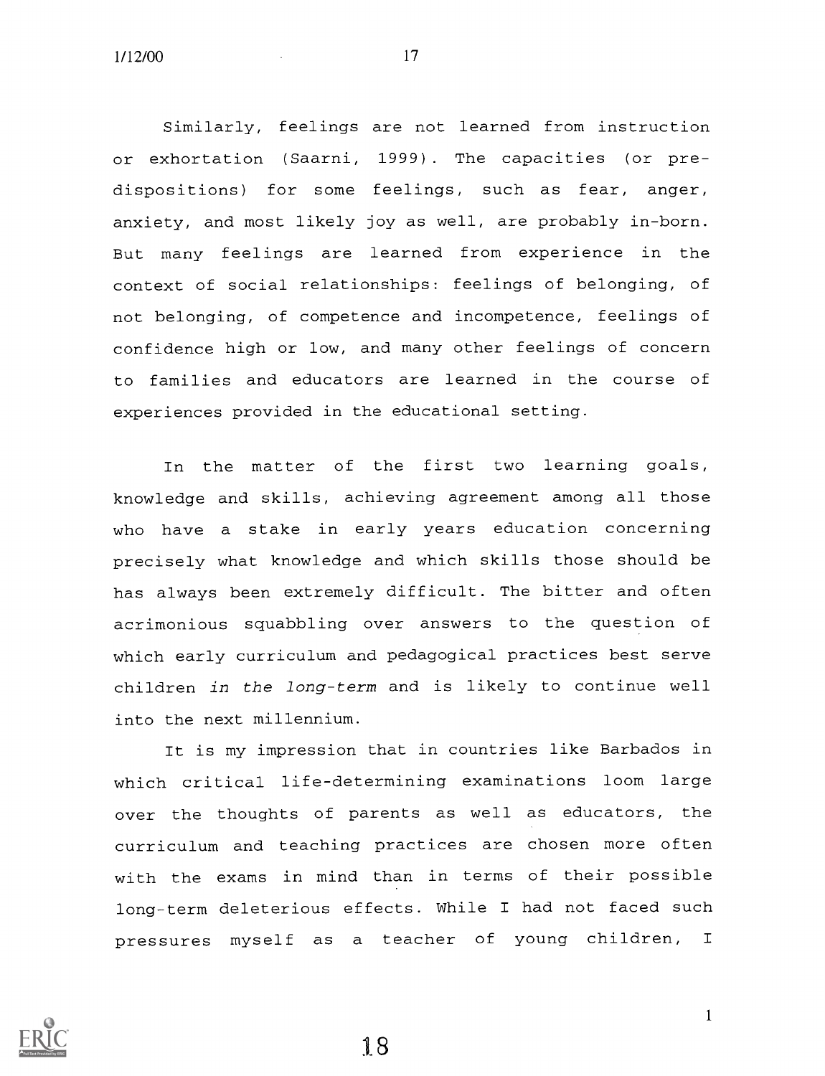Similarly, feelings are not learned from instruction or exhortation (Saarni, 1999). The capacities (or predispositions) for some feelings, such as fear, anger, anxiety, and most likely joy as well, are probably in-born. But many feelings are learned from experience in the context of social relationships: feelings of belonging, of not belonging, of competence and incompetence, feelings of confidence high or low, and many other feelings of concern to families and educators are learned in the course of experiences provided in the educational setting.

In the matter of the first two learning goals, knowledge and skills, achieving agreement among all those who have a stake in early years education concerning precisely what knowledge and which skills those should be has always been extremely difficult. The bitter and often acrimonious squabbling over answers to the question of which early curriculum and pedagogical practices best serve children in the long-term and is likely to continue well into the next millennium.

It is my impression that in countries like Barbados in which critical life-determining examinations loom large over the thoughts of parents as well as educators, the curriculum and teaching practices are chosen more often with the exams in mind than in terms of their possible long-term deleterious effects. While I had not faced such pressures myself as a teacher of young children, <sup>I</sup>



18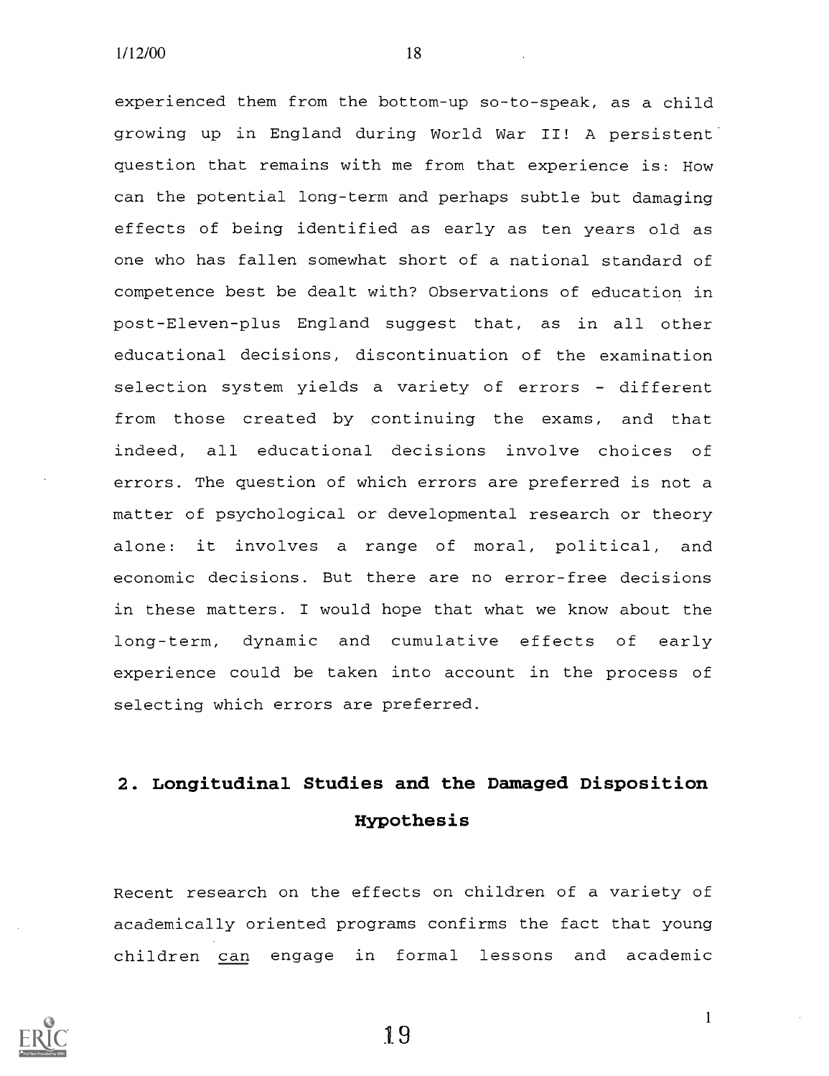experienced them from the bottom-up so-to-speak, as a child growing up in England during World War II! A persistent question that remains with me from that experience is: How can the potential long-term and perhaps subtle but damaging effects of being identified as early as ten years old as one who has fallen somewhat short of a national standard of competence best be dealt with? Observations of education in post-Eleven-plus England suggest that, as in all other educational decisions, discontinuation of the examination selection system yields a variety of errors - different from those created by continuing the exams, and that indeed, all educational decisions involve choices of errors. The question of which errors are preferred is not a matter of psychological or developmental research or theory alone: it involves a range of moral, political, and economic decisions. But there are no error-free decisions in these matters. I would hope that what we know about the long-term, dynamic and cumulative effects of early experience could be taken into account in the process of selecting which errors are preferred.

# 2. Longitudinal Studies and the Damaged Disposition Hypothesis

Recent research on the effects on children of a variety of academically oriented programs confirms the fact that young children can engage in formal lessons and academic



19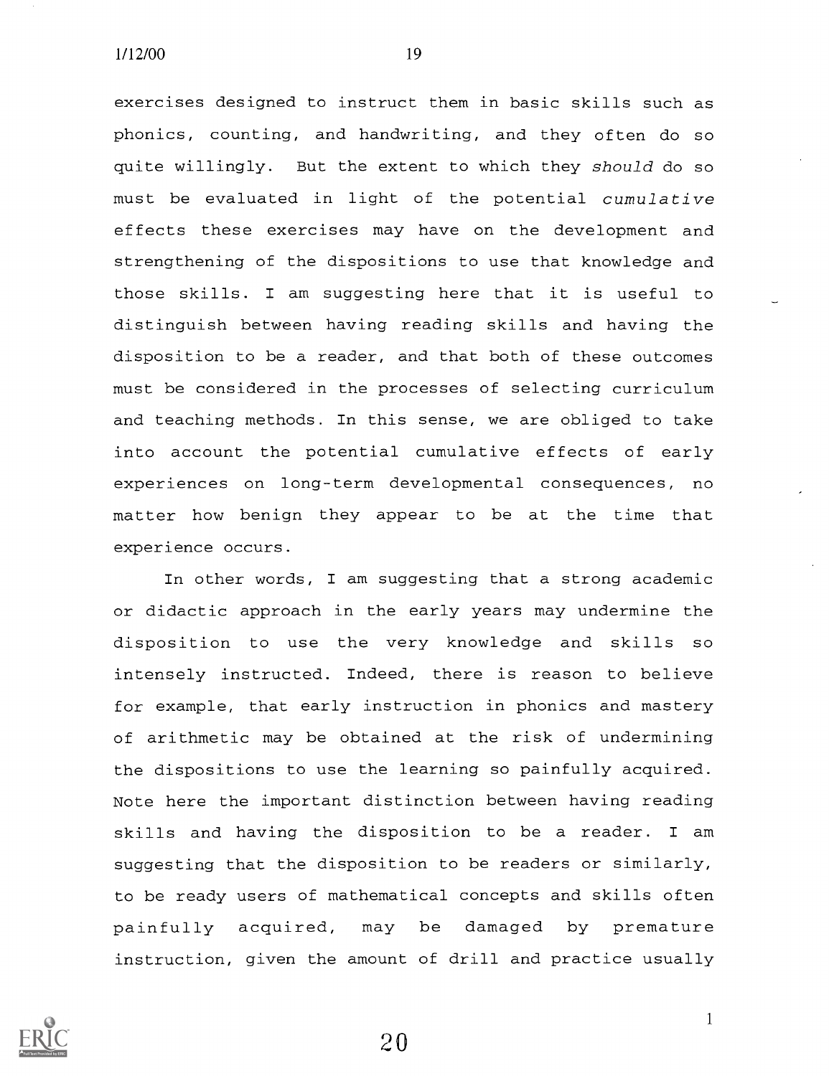exercises designed to instruct them in basic skills such as phonics, counting, and handwriting, and they often do so quite willingly. But the extent to which they should do so must be evaluated in light of the potential cumulative effects these exercises may have on the development and strengthening of the dispositions to use that knowledge and those skills. I am suggesting here that it is useful to distinguish between having reading skills and having the disposition to be a reader, and that both of these outcomes must be considered in the processes of selecting curriculum and teaching methods. In this sense, we are obliged to take into account the potential cumulative effects of early experiences on long-term developmental consequences, no matter how benign they appear to be at the time that experience occurs.

In other words, I am suggesting that a strong academic or didactic approach in the early years may undermine the disposition to use the very knowledge and skills so intensely instructed. Indeed, there is reason to believe for example, that early instruction in phonics and mastery of arithmetic may be obtained at the risk of undermining the dispositions to use the learning so painfully acquired. Note here the important distinction between having reading skills and having the disposition to be a reader. I am suggesting that the disposition to be readers or similarly, to be ready users of mathematical concepts and skills often painfully acquired, may be damaged by premature instruction, given the amount of drill and practice usually

20

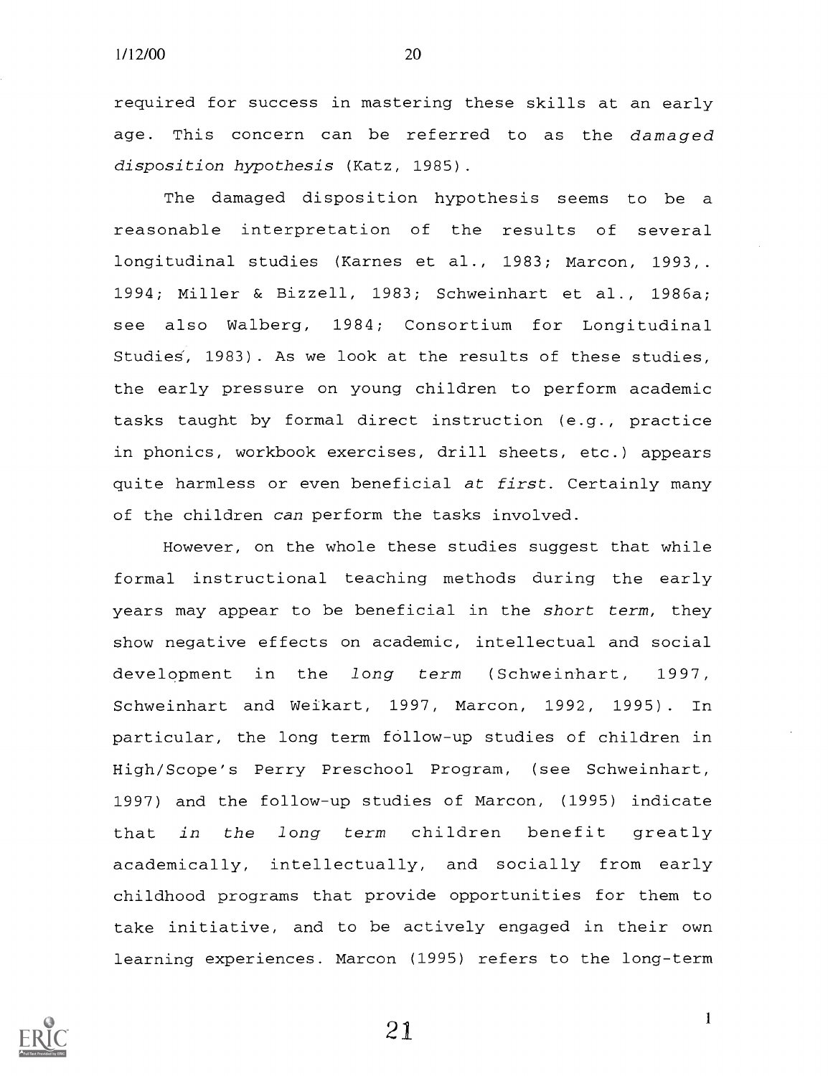required for success in mastering these skills at an early age. This concern can be referred to as the damaged disposition hypothesis (Katz, 1985).

The damaged disposition hypothesis seems to be a reasonable interpretation of the results of several longitudinal studies (Karnes et al., 1983; Marcon, 1993,. 1994; Miller & Bizzell, 1983; Schweinhart et al., 1986a; see also Walberg, 1984; Consortium for Longitudinal Studies, 1983). As we look at the results of these studies, the early pressure on young children to perform academic tasks taught by formal direct instruction (e.g., practice in phonics, workbook exercises, drill sheets, etc.) appears quite harmless or even beneficial at first. Certainly many of the children can perform the tasks involved.

However, on the whole these studies suggest that while formal instructional teaching methods during the early years may appear to be beneficial in the short term, they show negative effects on academic, intellectual and social development in the long term (Schweinhart, 1997, Schweinhart and Weikart, 1997, Marcon, 1992, 1995). In particular, the long term follow-up studies of children in High/Scope's Perry Preschool Program, (see Schweinhart, 1997) and the follow-up studies of Marcon, (1995) indicate that in the long term children benefit greatly academically, intellectually, and socially from early childhood programs that provide opportunities for them to take initiative, and to be actively engaged in their own learning experiences. Marcon (1995) refers to the long-term

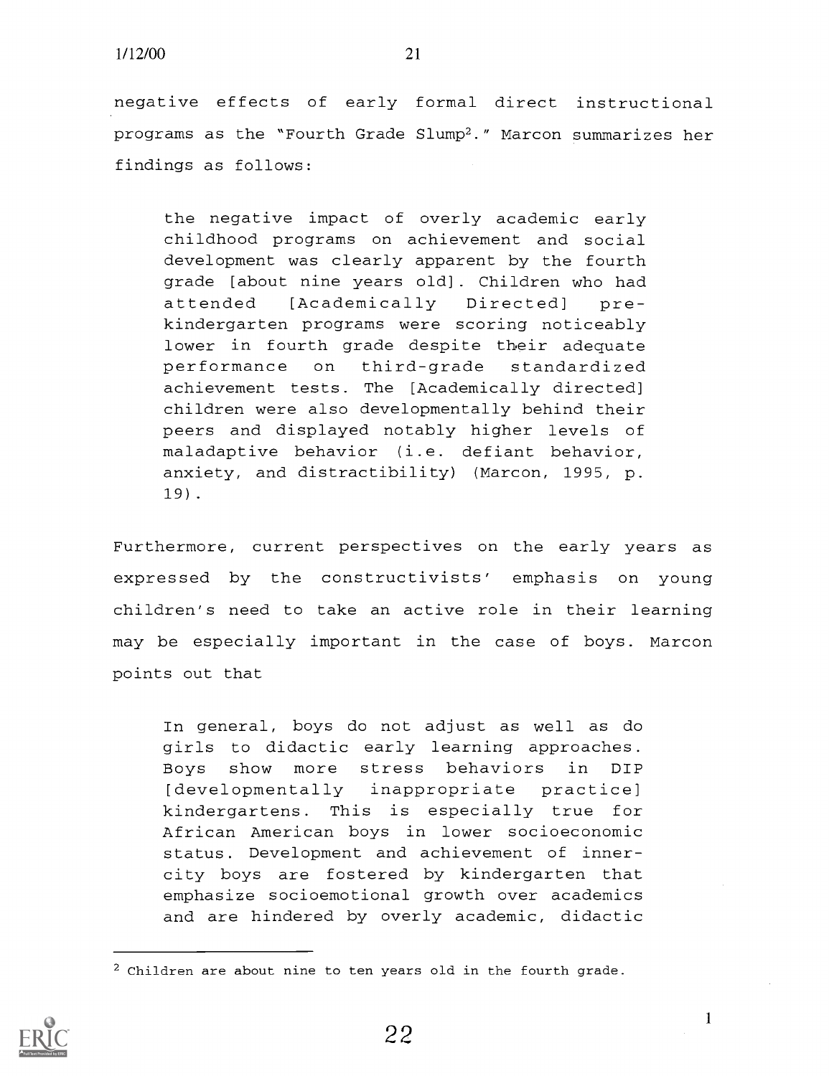negative effects of early formal direct instructional programs as the "Fourth Grade Slump2." Marcon summarizes her findings as follows:

the negative impact of overly academic early childhood programs on achievement and social development was clearly apparent by the fourth grade [about nine years old]. Children who had attended [Academically Directed] prekindergarten programs were scoring noticeably lower in fourth grade despite their adequate performance on third-grade standardized achievement tests. The [Academically directed] children were also developmentally behind their peers and displayed notably higher levels of maladaptive behavior (i.e. defiant behavior, anxiety, and distractibility) (Marcon, 1995, p. 19).

Furthermore, current perspectives on the early years as expressed by the constructivists' emphasis on young children's need to take an active role in their learning may be especially important in the case of boys. Marcon points out that

In general, boys do not adjust as well as do girls to didactic early learning approaches. Boys show more stress behaviors in DIP [developmentally inappropriate practice] kindergartens. This is especially true for African American boys in lower socioeconomic status. Development and achievement of innercity boys are fostered by kindergarten that emphasize socioemotional growth over academics and are hindered by overly academic, didactic

 $2$  Children are about nine to ten years old in the fourth grade.

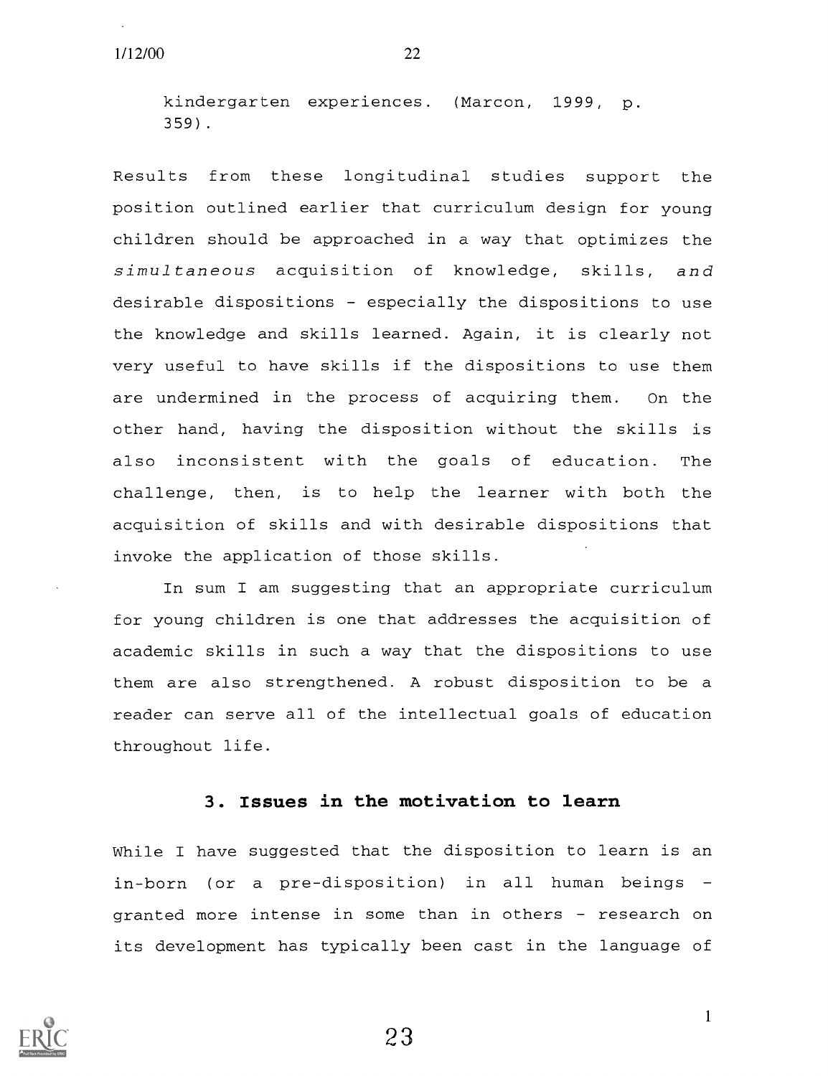kindergarten experiences. (Marcon, 1999, p. 359).

Results from these longitudinal studies support the position outlined earlier that curriculum design for young children should be approached in a way that optimizes the simultaneous acquisition of knowledge, skills, and desirable dispositions - especially the dispositions to use the knowledge and skills learned. Again, it is clearly not very useful to have skills if the dispositions to use them are undermined in the process of acquiring them. On the other hand, having the disposition without the skills is also inconsistent with the goals of education. The challenge, then, is to help the learner with both the acquisition of skills and with desirable dispositions that invoke the application of those skills.

In sum I am suggesting that an appropriate curriculum for young children is one that addresses the acquisition of academic skills in such a way that the dispositions to use them are also strengthened. A robust disposition to be a reader can serve all of the intellectual goals of education throughout life.

#### 3. Issues in the motivation to learn

While I have suggested that the disposition to learn is an in-born (or a pre-disposition) in all human beings granted more intense in some than in others - research on its development has typically been cast in the language of



23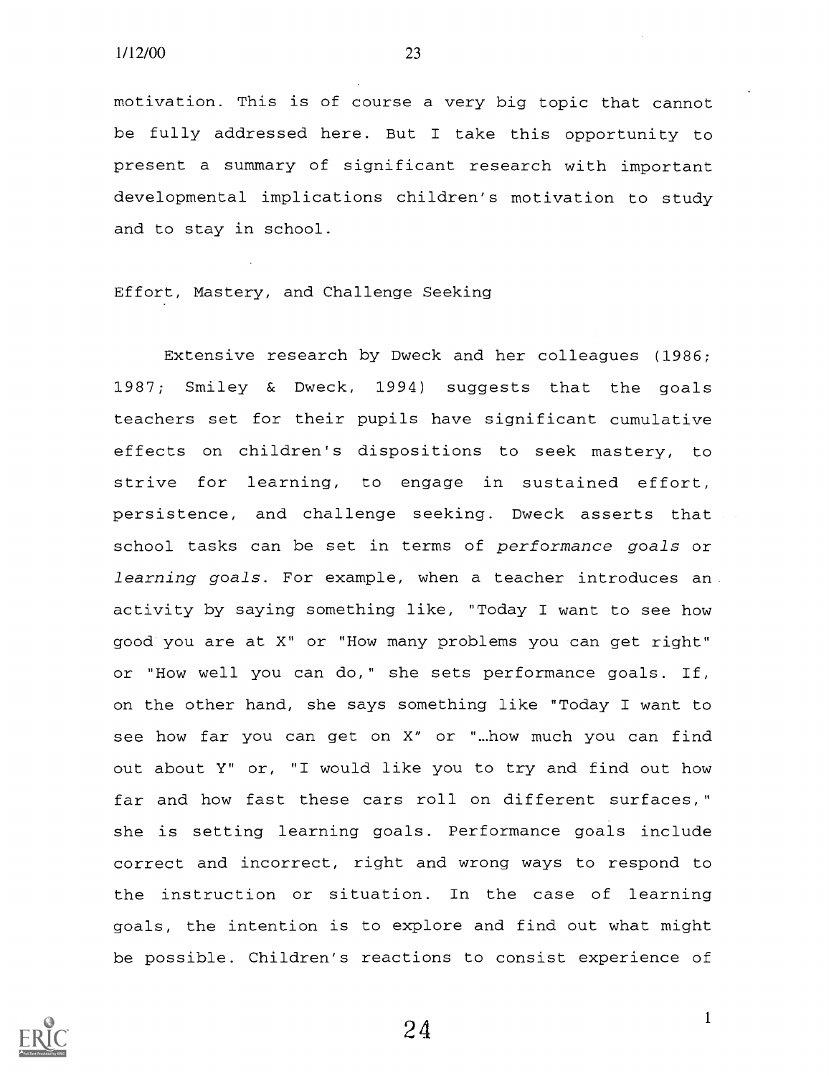motivation. This is of course a very big topic that cannot be fully addressed here. But <sup>I</sup> take this opportunity to present a summary of significant research with important developmental implications children's motivation to study and to stay in school.

Effort, Mastery, and Challenge Seeking

Extensive research by Dweck and her colleagues (1986; 1987; Smiley & Dweck, 1994) suggests that the goals teachers set for their pupils have significant cumulative effects on children's dispositions to seek mastery, to strive for learning, to engage in sustained effort, persistence, and challenge seeking. Dweck asserts that school tasks can be set in terms of performance goals or learning goals. For example, when a teacher introduces an. activity by saying something like, "Today I want to see how good you are at X" or "How many problems you can get right" or "How well you can do," she sets performance goals. If, on the other hand, she says something like "Today I want to see how far you can get on X" or "...how much you can find out about Y" or, "I would like you to try and find out how far and how fast these cars roll on different surfaces," she is setting learning goals. Performance goals include correct and incorrect, right and wrong ways to respond to the instruction or situation. In the case of learning goals, the intention is to explore and find out what might be possible. Children's reactions to consist experience of

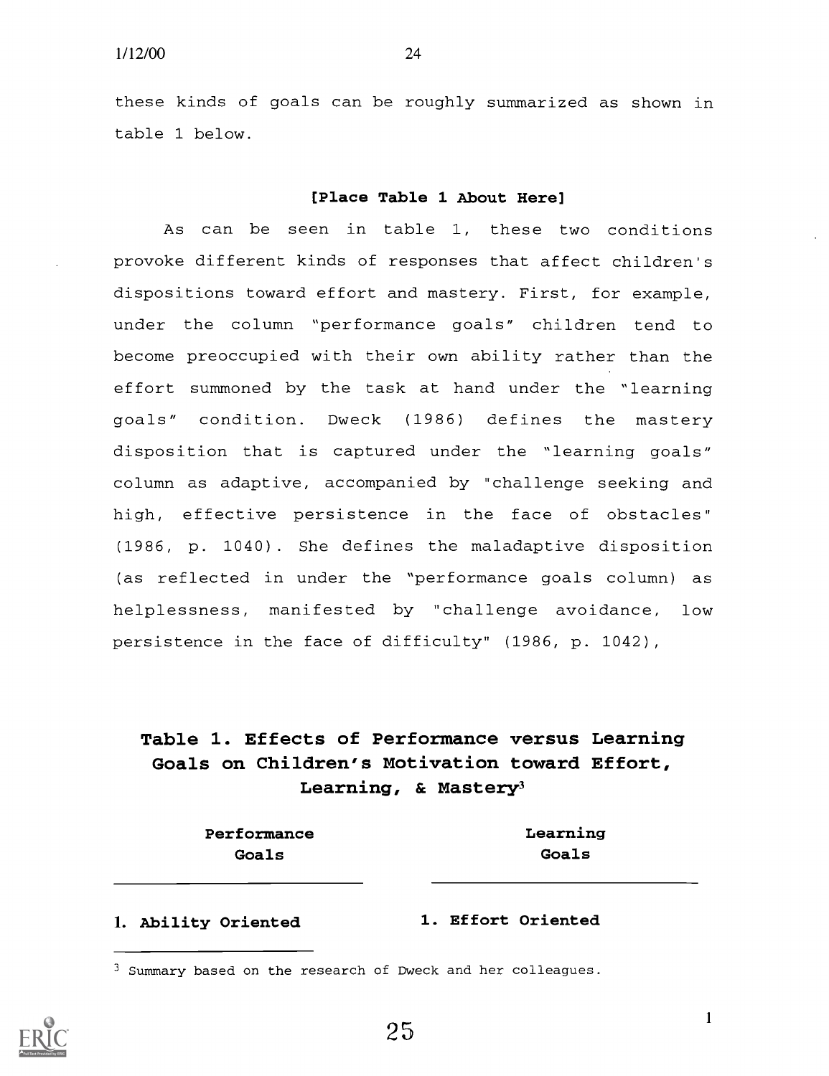these kinds of goals can be roughly summarized as shown in table 1 below.

#### [Place Table 1 About Here]

As can be seen in table 1, these two conditions provoke different kinds of responses that affect children's dispositions toward effort and mastery. First, for example, under the column "performance goals" children tend to become preoccupied with their own ability rather than the effort summoned by the task at hand under the "learning goals" condition. Dweck (1986) defines the mastery disposition that is captured under the "learning goals" column as adaptive, accompanied by "challenge seeking and high, effective persistence in the face of obstacles" (1986, p. 1040). She defines the maladaptive disposition (as reflected in under the "performance goals column) as helplessness, manifested by "challenge avoidance, low persistence in the face of difficulty" (1986, p. 1042),

# Table 1. Effects of Performance versus Learning Goals on Children's Motivation toward Effort, Learning, & Mastery<sup>3</sup>

Performance Learning

Goals Goals

1. Ability Oriented 1. Effort Oriented



<sup>3</sup> Summary based on the research of Dweck and her colleagues.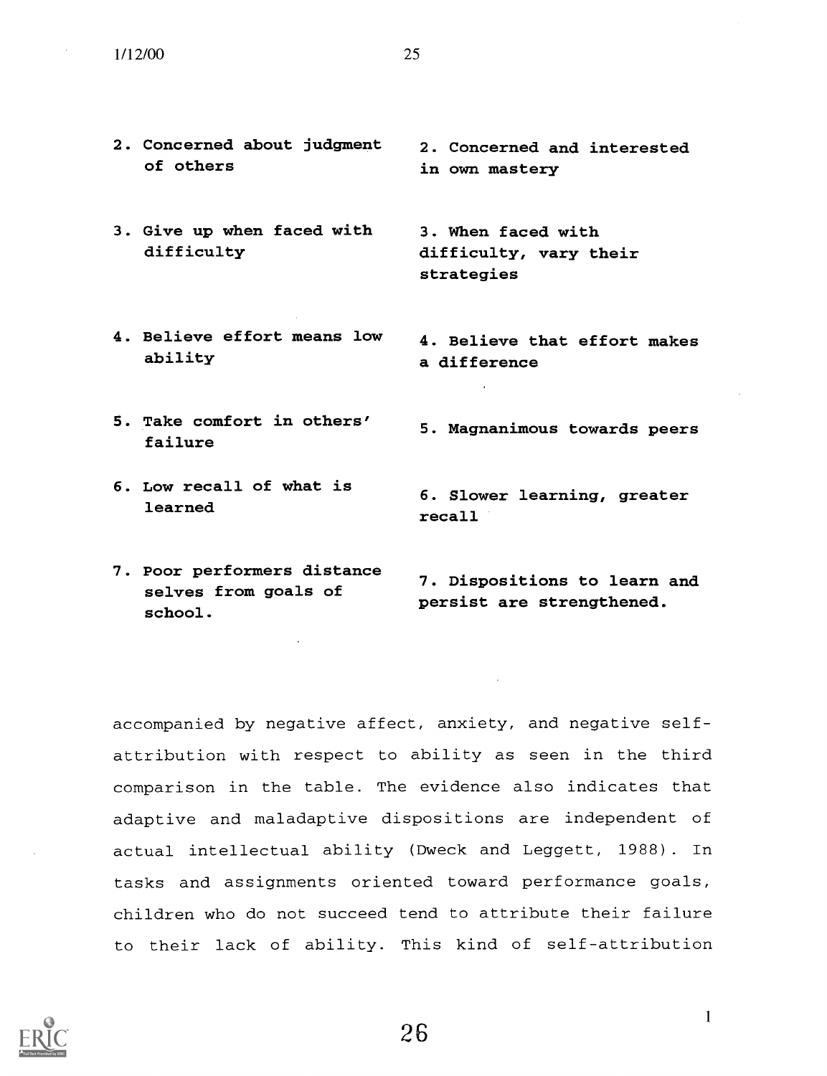- 2. Concerned about judgment of others
- 3. Give up when faced with difficulty
- 4. Believe effort means low ability
- 5. Take comfort in others' failure
- 6. Low recall of what is learned

2. Concerned and interested in own mastery

3. When faced with difficulty, vary their strategies

4. Believe that effort makes a difference

- 5. Magnanimous towards peers
- 6. Slower learning, greater recall
- 7. Poor performers distance selves from goals of school. 7. Dispositions to learn and persist are strengthened.

accompanied by negative affect, anxiety, and negative selfattribution with respect to ability as seen in the third comparison in the table. The evidence also indicates that adaptive and maladaptive dispositions are independent of actual intellectual ability (Dweck and Leggett, 1988). In tasks and assignments oriented toward performance goals, children who do not succeed tend to attribute their failure to their lack of ability. This kind of self-attribution

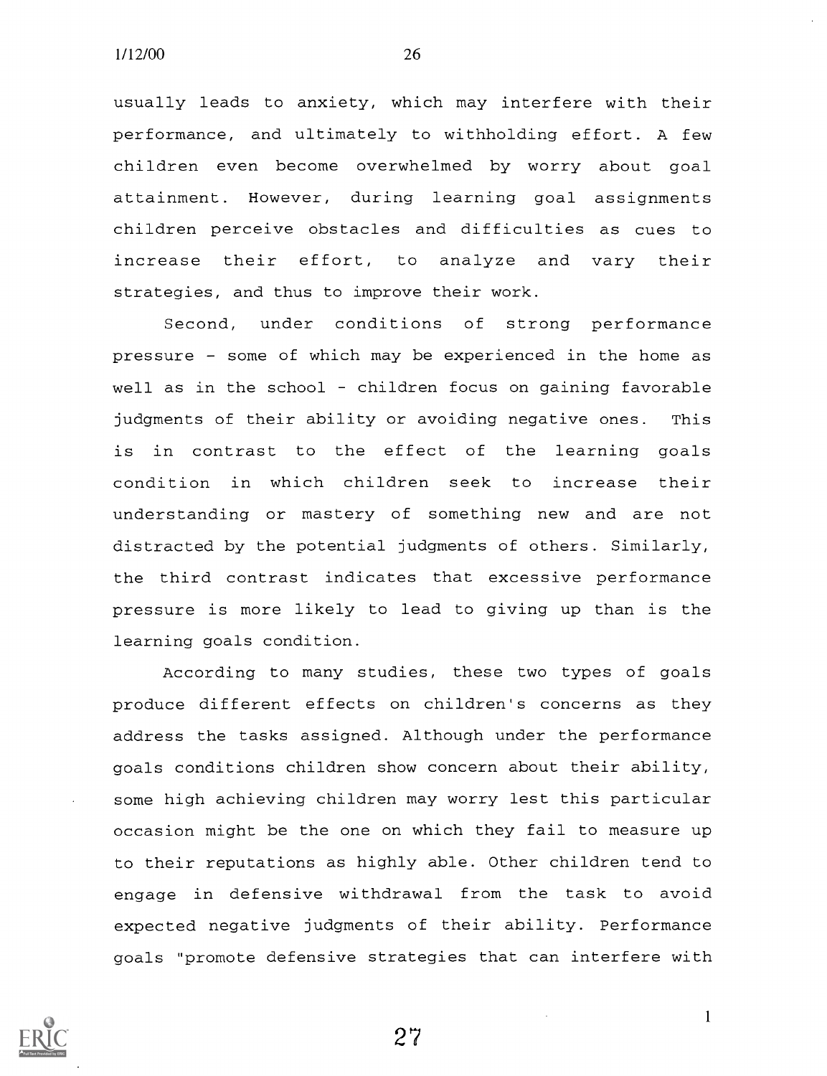usually leads to anxiety, which may interfere with their performance, and ultimately to withholding effort. A few children even become overwhelmed by worry about goal attainment. However, during learning goal assignments children perceive obstacles and difficulties as cues to increase their effort, to analyze and vary their strategies, and thus to improve their work.

Second, under conditions of strong performance pressure - some of which may be experienced in the home as well as in the school - children focus on gaining favorable judgments of their ability or avoiding negative ones. This is in contrast to the effect of the learning goals condition in which children seek to increase their understanding or mastery of something new and are not distracted by the potential judgments of others. Similarly, the third contrast indicates that excessive performance pressure is more likely to lead to giving up than is the learning goals condition.

According to many studies, these two types of goals produce different effects on children's concerns as they address the tasks assigned. Although under the performance goals conditions children show concern about their ability, some high achieving children may worry lest this particular occasion might be the one on which they fail to measure up to their reputations as highly able. Other children tend to engage in defensive withdrawal from the task to avoid expected negative judgments of their ability. Performance goals "promote defensive strategies that can interfere with

27

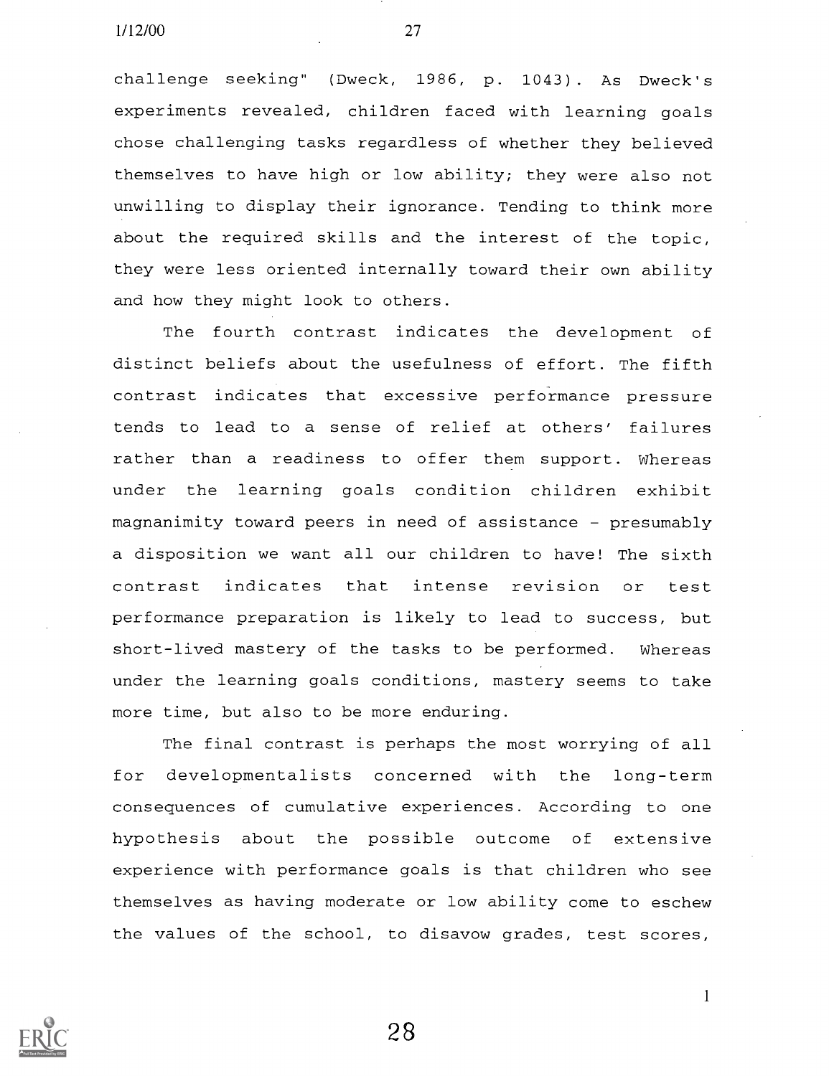challenge seeking" (Dweck, 1986, p. 1043). As Dweck's experiments revealed, children faced with learning goals chose challenging tasks regardless of whether they believed themselves to have high or low ability; they were also not unwilling to display their ignorance. Tending to think more about the required skills and the interest of the topic, they were less oriented internally toward their own ability and how they might look to others.

The fourth contrast indicates the development of distinct beliefs about the usefulness of effort. The fifth contrast indicates that excessive performance pressure tends to lead to a sense of relief at others' failures rather than a readiness to offer them support. Whereas under the learning goals condition children exhibit magnanimity toward peers in need of assistance - presumably a disposition we want all our children to have! The sixth contrast indicates that intense revision or test performance preparation is likely to lead to success, but short-lived mastery of the tasks to be performed. Whereas under the learning goals conditions, mastery seems to take more time, but also to be more enduring.

The final contrast is perhaps the most worrying of all for developmentalists concerned with the long-term consequences of cumulative experiences. According to one hypothesis about the possible outcome of extensive experience with performance goals is that children who see themselves as having moderate or low ability come to eschew the values of the school, to disavow grades, test scores,



28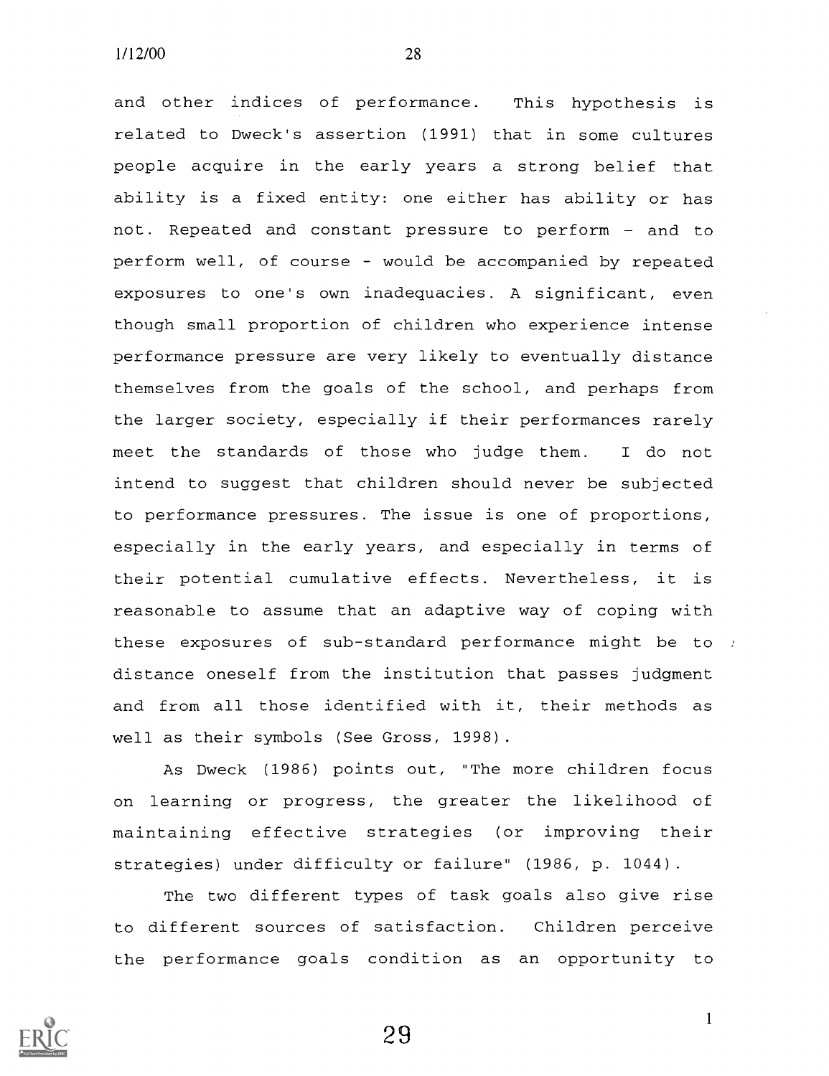and other indices of performance. This hypothesis is related to Dweck's assertion (1991) that in some cultures people acquire in the early years a strong belief that ability is a fixed entity: one either has ability or has not. Repeated and constant pressure to perform - and to perform well, of course - would be accompanied by repeated exposures to one's own inadequacies. A significant, even though small proportion of children who experience intense performance pressure are very likely to eventually distance themselves from the goals of the school, and perhaps from the larger society, especially if their performances rarely meet the standards of those who judge them. <sup>I</sup> do not intend to suggest that children should never be subjected to performance pressures. The issue is one of proportions, especially in the early years, and especially in terms of their potential cumulative effects. Nevertheless, it is reasonable to assume that an adaptive way of coping with these exposures of sub-standard performance might be to distance oneself from the institution that passes judgment and from all those identified with it, their methods as well as their symbols (See Gross, 1998).

As Dweck (1986) points out, "The more children focus on learning or progress, the greater the likelihood of maintaining effective strategies (or improving their strategies) under difficulty or failure" (1986, p. 1044).

The two different types of task goals also give rise to different sources of satisfaction. Children perceive the performance goals condition as an opportunity to

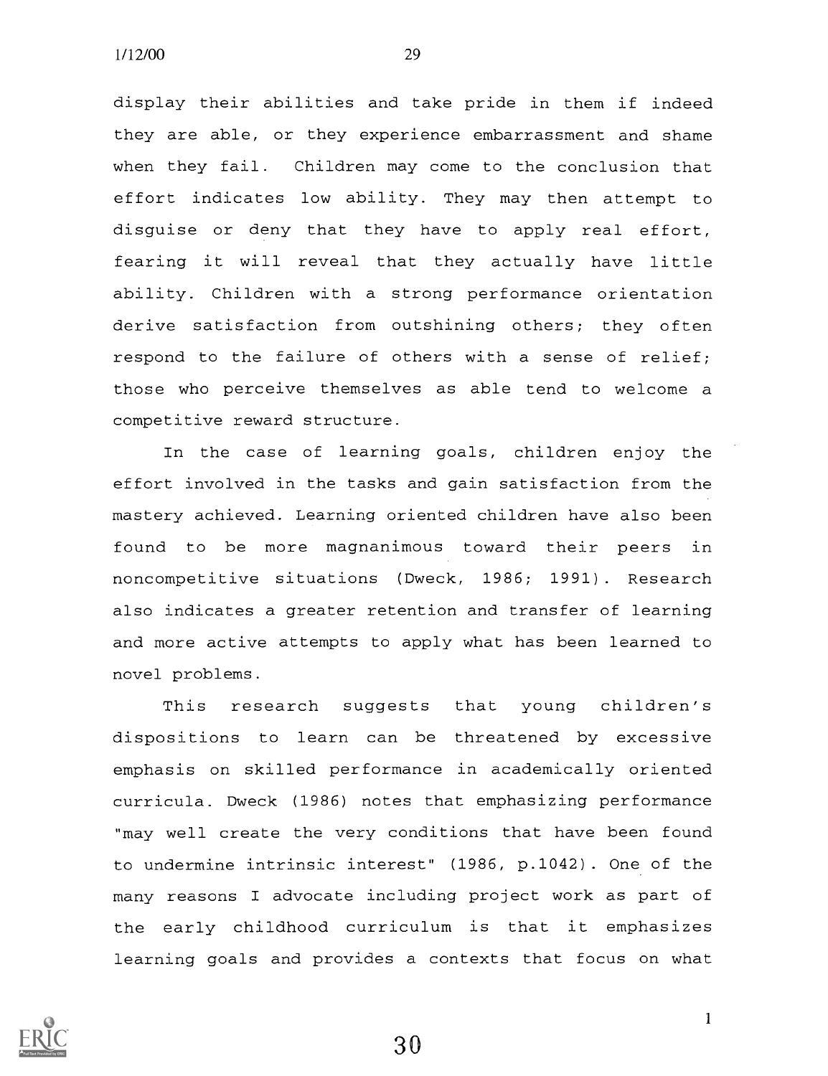display their abilities and take pride in them if indeed they are able, or they experience embarrassment and shame when they fail. Children may come to the conclusion that effort indicates low ability. They may then attempt to disguise or deny that they have to apply real effort, fearing it will reveal that they actually have little ability. Children with a strong performance orientation derive satisfaction from outshining others; they often respond to the failure of others with a sense of relief; those who perceive themselves as able tend to welcome a competitive reward structure.

In the case of learning goals, children enjoy the effort involved in the tasks and gain satisfaction from the mastery achieved. Learning oriented children have also been found to be more magnanimous toward their peers in noncompetitive situations (Dweck, 1986; 1991). Research also indicates a greater retention and transfer of learning and more active attempts to apply what has been learned to novel problems.

This research suggests that young children's dispositions to learn can be threatened by excessive emphasis on skilled performance in academically oriented curricula. Dweck (1986) notes that emphasizing performance "may well create the very conditions that have been found to undermine intrinsic interest" (1986, p.1042). One of the many reasons I advocate including project work as part of the early childhood curriculum is that it emphasizes learning goals and provides a contexts that focus on what

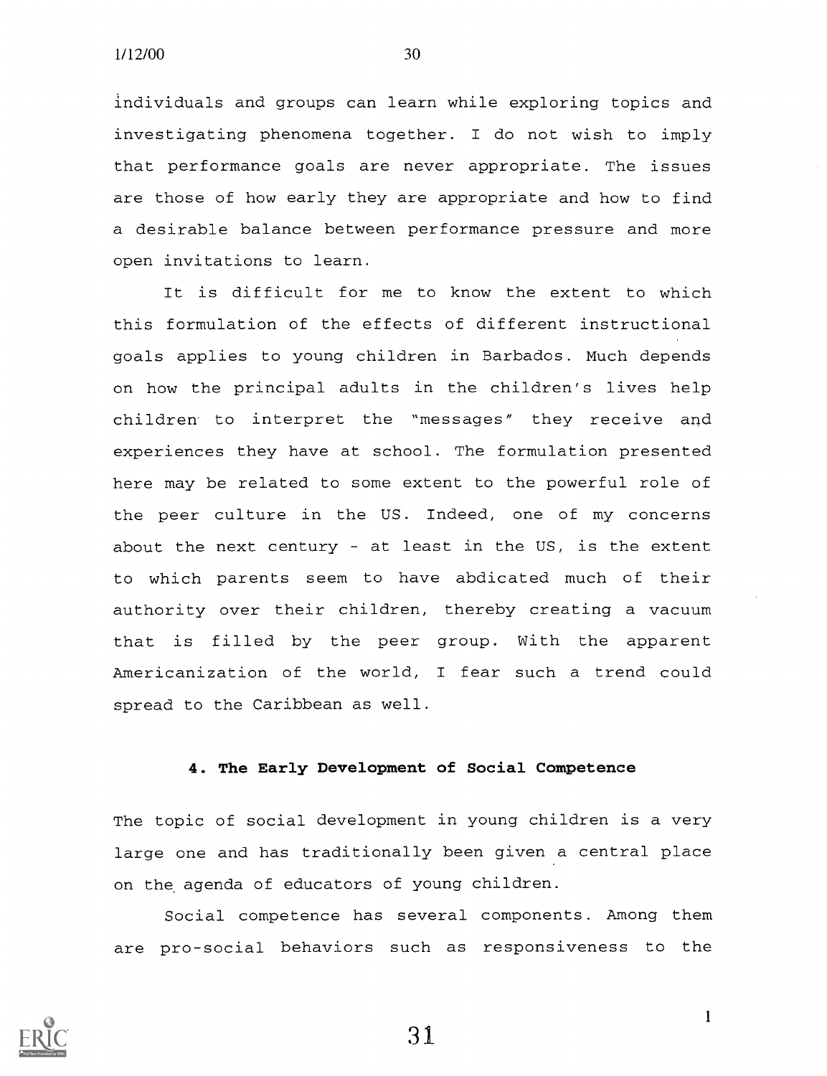individuals and groups can learn while exploring topics and investigating phenomena together. I do not wish to imply that performance goals are never appropriate. The issues are those of how early they are appropriate and how to find a desirable balance between performance pressure and more open invitations to learn.

It is difficult for me to know the extent to which this formulation of the effects of different instructional goals applies to young children in Barbados. Much depends on how the principal adults in the children's lives help children to interpret the "messages" they receive and experiences they have at school. The formulation presented here may be related to some extent to the powerful role of the peer culture in the US. Indeed, one of my concerns about the next century - at least in the US, is the extent to which parents seem to have abdicated much of their authority over their children, thereby creating a vacuum that is filled by the peer group. With the apparent Americanization of the world, <sup>I</sup> fear such a trend could spread to the Caribbean as well.

#### 4. The Early Development of Social Competence

The topic of social development in young children is a very large one and has traditionally been given a central place on the agenda of educators of young children.

Social competence has several components. Among them are pro-social behaviors such as responsiveness to the



31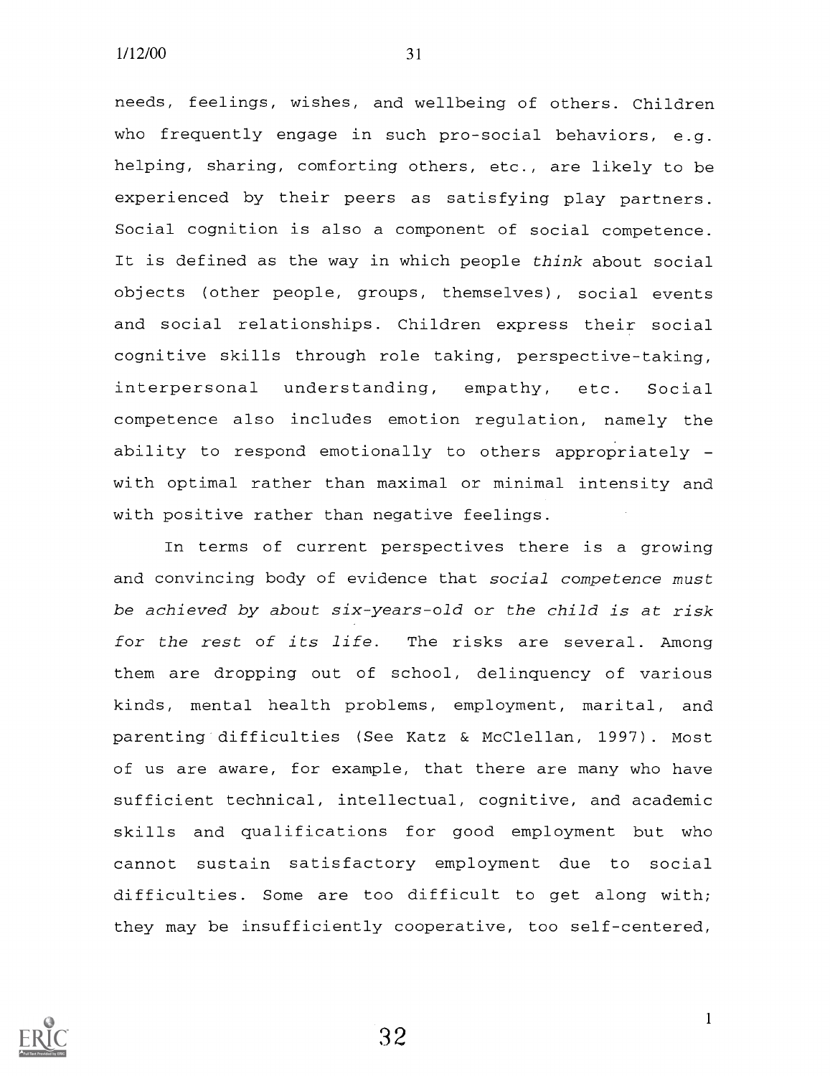needs, feelings, wishes, and wellbeing of others. Children who frequently engage in such pro-social behaviors, e.g. helping, sharing, comforting others, etc., are likely to be experienced by their peers as satisfying play partners. Social cognition is also a component of social competence. It is defined as the way in which people think about social objects (other people, groups, themselves), social events and social relationships. Children express their social cognitive skills through role taking, perspective-taking, interpersonal understanding, empathy, etc. Social competence also includes emotion regulation, namely the ability to respond emotionally to others appropriately with optimal rather than maximal or minimal intensity and with positive rather than negative feelings.

In terms of current perspectives there is a growing and convincing body of evidence that social competence must be achieved by about six-years-old or the child is at risk for the rest of its life. The risks are several. Among them are dropping out of school, delinquency of various kinds, mental health problems, employment, marital, and parenting difficulties (See Katz & McClellan, 1997). Most of us are aware, for example, that there are many who have sufficient technical, intellectual, cognitive, and academic skills and qualifications for good employment but who cannot sustain satisfactory employment due to social difficulties. Some are too difficult to get along with; they may be insufficiently cooperative, too self-centered,

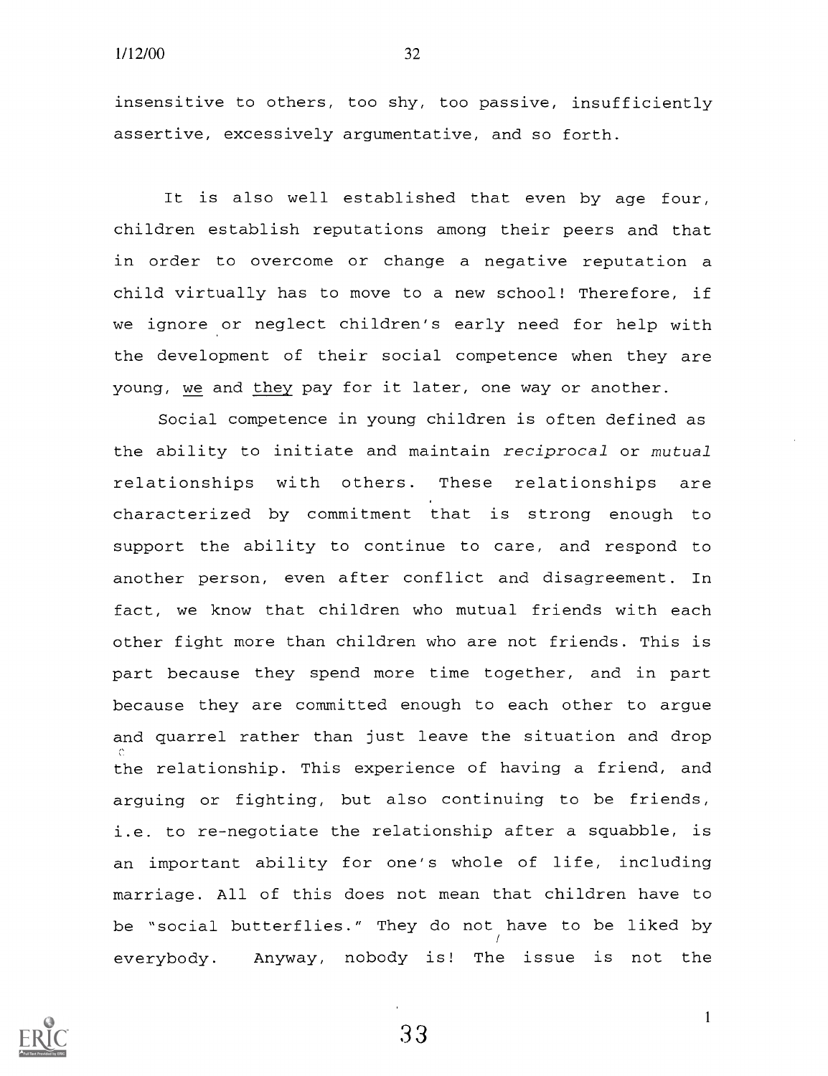insensitive to others, too shy, too passive, insufficiently assertive, excessively argumentative, and so forth.

It is also well established that even by age four, children establish reputations among their peers and that in order to overcome or change a negative reputation a child virtually has to move to a new school! Therefore, if we ignore or neglect children's early need for help with the development of their social competence when they are young, we and they pay for it later, one way or another.

Social competence in young children is often defined as the ability to initiate and maintain reciprocal or mutual relationships with others. These relationships are characterized by commitment that is strong enough to support the ability to continue to care, and respond to another person, even after conflict and disagreement. In fact, we know that children who mutual friends with each other fight more than children who are not friends. This is part because they spend more time together, and in part because they are committed enough to each other to argue and quarrel rather than just leave the situation and drop the relationship. This experience of having a friend, and arguing or fighting, but also continuing to be friends, i.e. to re-negotiate the relationship after a squabble, is an important ability for one's whole of life, including marriage. All of this does not mean that children have to be "social butterflies." They do not have to be liked by everybody. Anyway, nobody is! The issue is not the



 $33$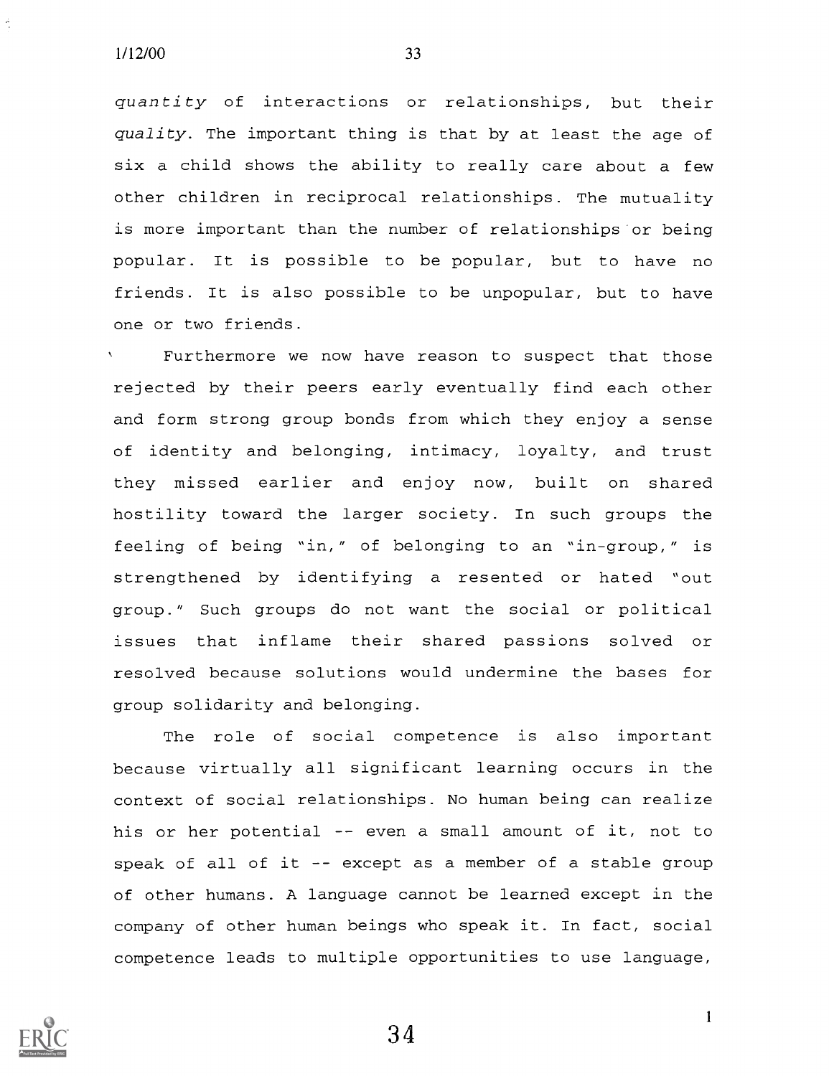quantity of interactions or relationships, but their quality. The important thing is that by at least the age of six a child shows the ability to really care about a few other children in reciprocal relationships. The mutuality is more important than the number of relationships or being popular. It is possible to be popular, but to have no friends. It is also possible to be unpopular, but to have one or two friends.

Furthermore we now have reason to suspect that those rejected by their peers early eventually find each other and form strong group bonds from which they enjoy a sense of identity and belonging, intimacy, loyalty, and trust they missed earlier and enjoy now, built on shared hostility toward the larger society. In such groups the feeling of being "in," of belonging to an "in-group," is strengthened by identifying a resented or hated "out group." Such groups do not want the social or political issues that inflame their shared passions solved or resolved because solutions would undermine the bases for group solidarity and belonging.

The role of social competence is also important because virtually all significant learning occurs in the context of social relationships. No human being can realize his or her potential -- even a small amount of it, not to speak of all of it  $-$ - except as a member of a stable group of other humans. A language cannot be learned except in the company of other human beings who speak it. In fact, social competence leads to multiple opportunities to use language,

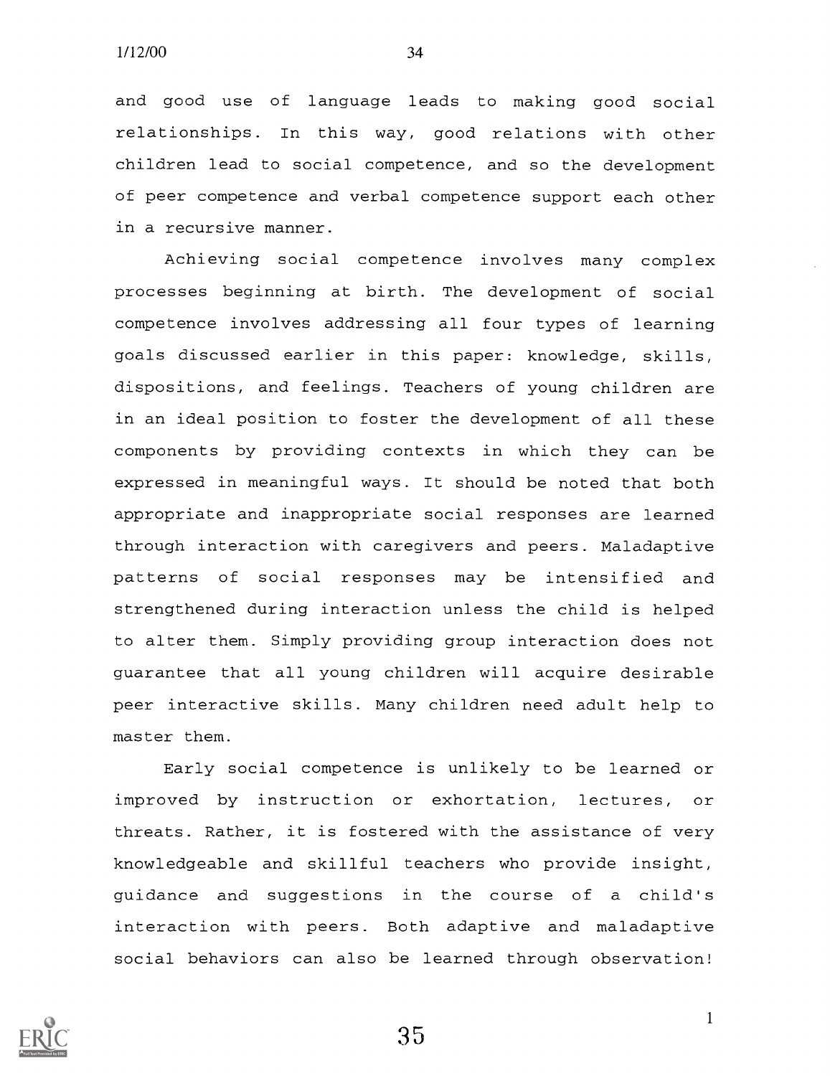and good use of language leads to making good social relationships. In this way, good relations with other children lead to social competence, and so the development of peer competence and verbal competence support each other in a recursive manner.

Achieving social competence involves many complex processes beginning at birth. The development of social competence involves addressing all four types of learning goals discussed earlier in this paper: knowledge, skills, dispositions, and feelings. Teachers of young children are in an ideal position to foster the development of all these components by providing contexts in which they can be expressed in meaningful ways. It should be noted that both appropriate and inappropriate social responses are learned through interaction with caregivers and peers. Maladaptive patterns of social responses may be intensified and strengthened during interaction unless the child is helped to alter them. Simply providing group interaction does not guarantee that all young children will acquire desirable peer interactive skills. Many children need adult help to master them.

Early social competence is unlikely to be learned or improved by instruction or exhortation, lectures, or threats. Rather, it is fostered with the assistance of very knowledgeable and skillful teachers who provide insight, guidance and suggestions in the course of a child's interaction with peers. Both adaptive and maladaptive social behaviors can also be learned through observation!

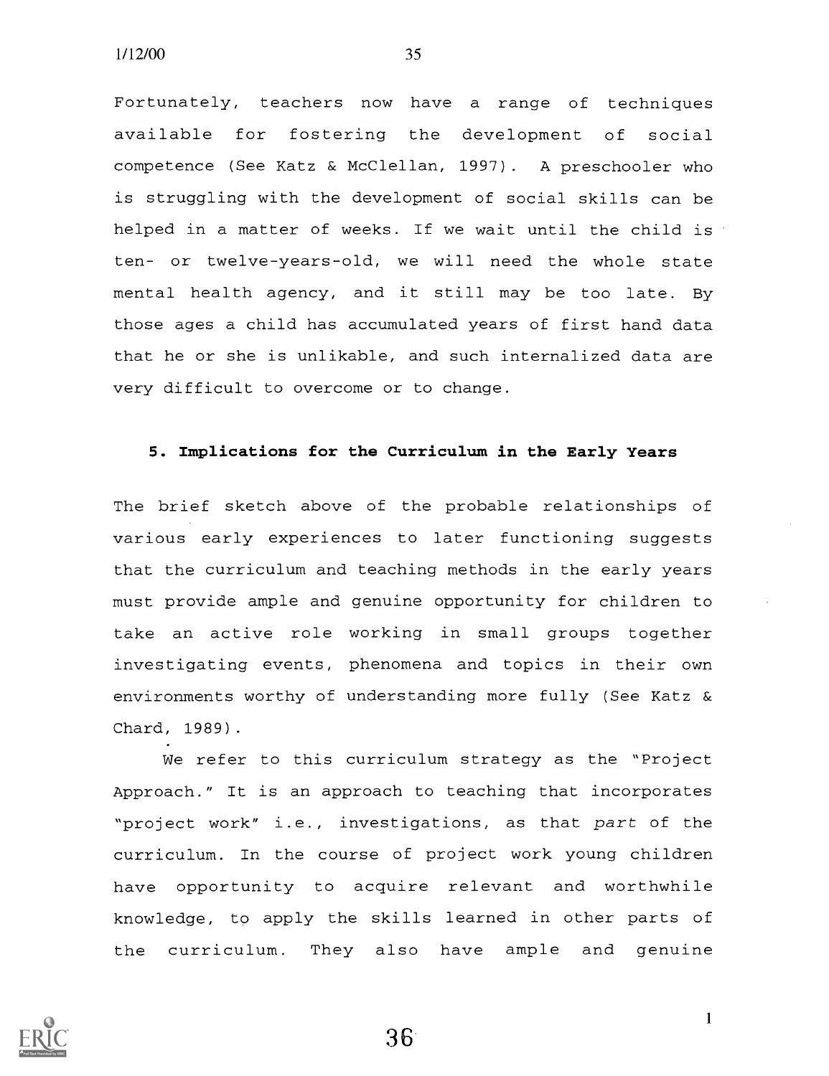Fortunately, teachers now have a range of techniques available for fostering the development of social competence (See Katz & McClellan, 1997). A preschooler who is struggling with the development of social skills can be helped in a matter of weeks. If we wait until the child is ten- or twelve-years-old, we will need the whole state mental health agency, and it still may be too late. By those ages a child has accumulated years of first hand data that he or she is unlikable, and such internalized data are very difficult to overcome or to change.

#### 5. Implications for the Curriculum in the Early Years

The brief sketch above of the probable relationships of various early experiences to later functioning suggests that the curriculum and teaching methods in the early years must provide ample and genuine opportunity for children to take an active role working in small groups together investigating events, phenomena and topics in their own environments worthy of understanding more fully (See Katz & Chard, 1989).

We refer to this curriculum strategy as the "Project Approach." It is an approach to teaching that incorporates "project work" i.e., investigations, as that part of the curriculum. In the course of project work young children have opportunity to acquire relevant and worthwhile knowledge, to apply the skills learned in other parts of the curriculum. They also have ample and genuine

36

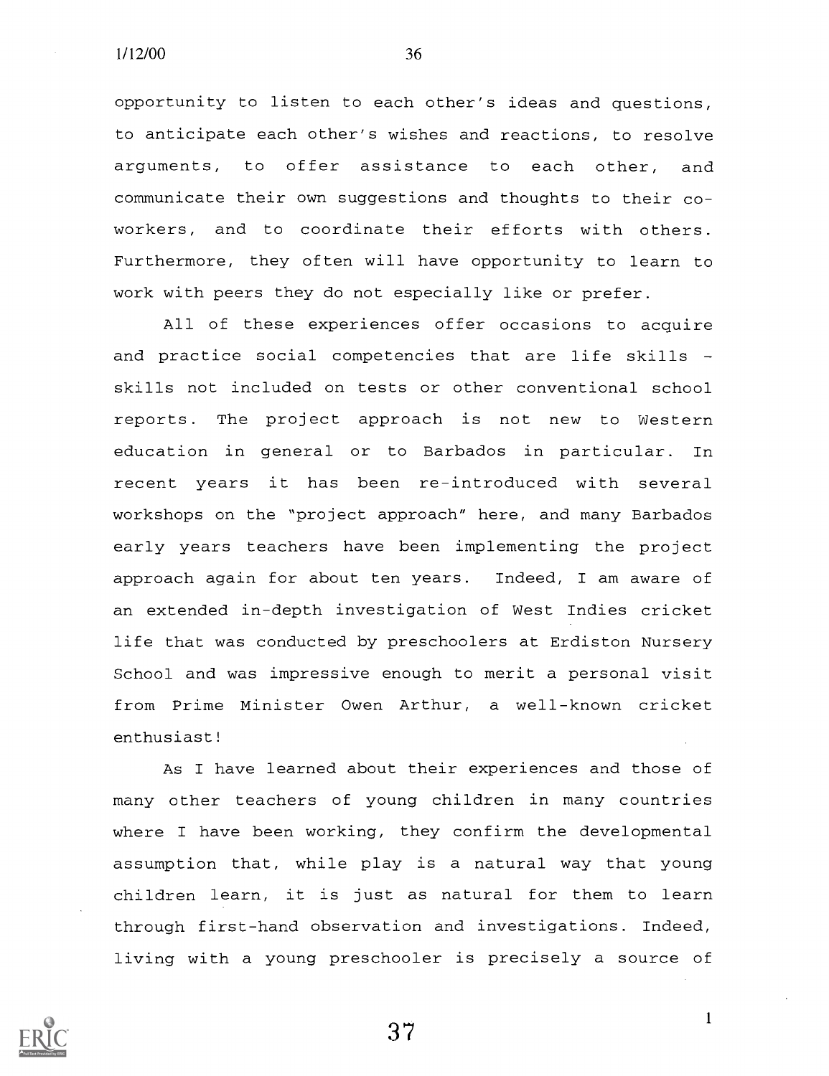opportunity to listen to each other's ideas and questions, to anticipate each other's wishes and reactions, to resolve arguments, to offer assistance to each other, and communicate their own suggestions and thoughts to their coworkers, and to coordinate their efforts with others. Furthermore, they often will have opportunity to learn to work with peers they do not especially like or prefer.

All of these experiences offer occasions to acquire and practice social competencies that are life skills skills not included on tests or other conventional school reports. The project approach is not new to Western education in general or to Barbados in particular. In recent years it has been re-introduced with several workshops on the "project approach" here, and many Barbados early years teachers have been implementing the project approach again for about ten years. Indeed, I am aware of an extended in-depth investigation of West Indies cricket life that was conducted by preschoolers at Erdiston Nursery School and was impressive enough to merit a personal visit from Prime Minister Owen Arthur, a well-known cricket enthusiast!

As I have learned about their experiences and those of many other teachers of young children in many countries where I have been working, they confirm the developmental assumption that, while play is a natural way that young children learn, it is just as natural for them to learn through first-hand observation and investigations. Indeed, living with a young preschooler is precisely a source of



 $37 \t1$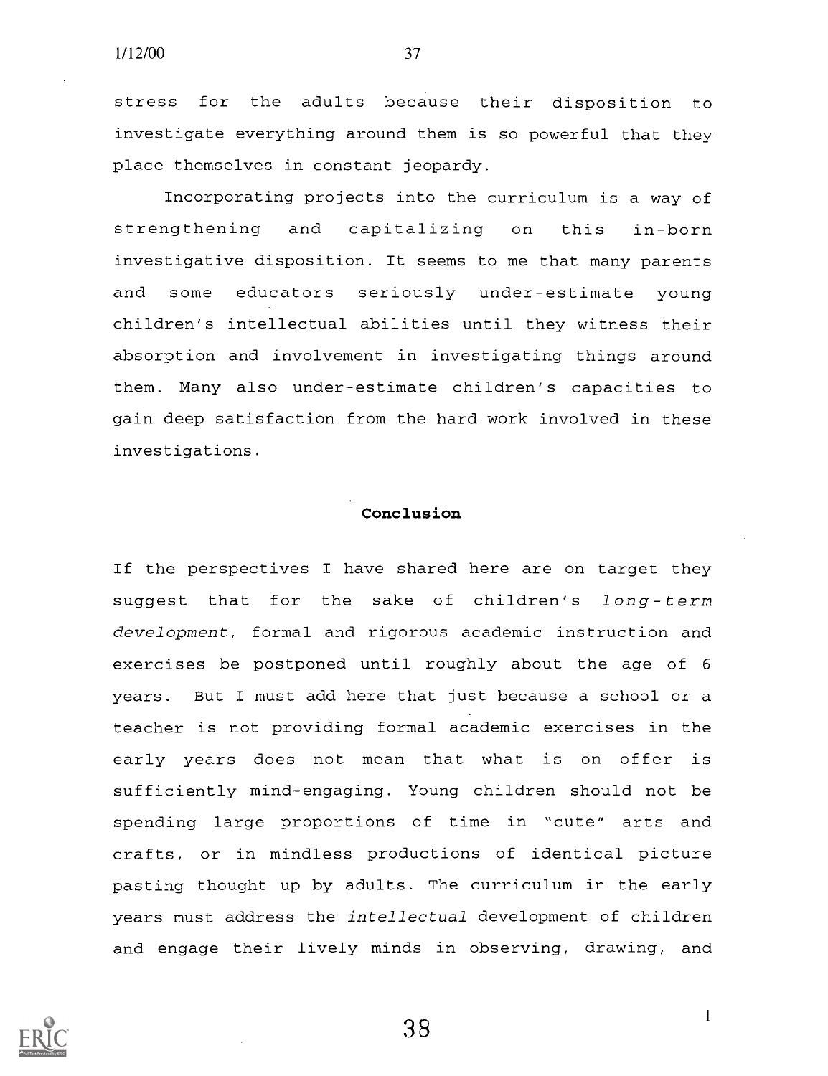$1/12/00$   $3/$ 

stress for the adults because their disposition to investigate everything around them is so powerful that they place themselves in constant jeopardy.

Incorporating projects into the curriculum is a way of strengthening and capitalizing on this in-born investigative disposition. It seems to me that many parents and some educators seriously under-estimate young children's intellectual abilities until they witness their absorption and involvement in investigating things around them. Many also under-estimate children's capacities to gain deep satisfaction from the hard work involved in these investigations.

#### Conclusion

If the perspectives I have shared here are on target they suggest that for the sake of children's long-term development, formal and rigorous academic instruction and exercises be postponed until roughly about the age of <sup>6</sup> years. But I must add here that just because a school or a teacher is not providing formal academic exercises in the early years does not mean that what is on offer is sufficiently mind-engaging. Young children should not be spending large proportions of time in "cute" arts and crafts, or in mindless productions of identical picture pasting thought up by adults. The curriculum in the early years must address the intellectual development of children and engage their lively minds in observing, drawing, and

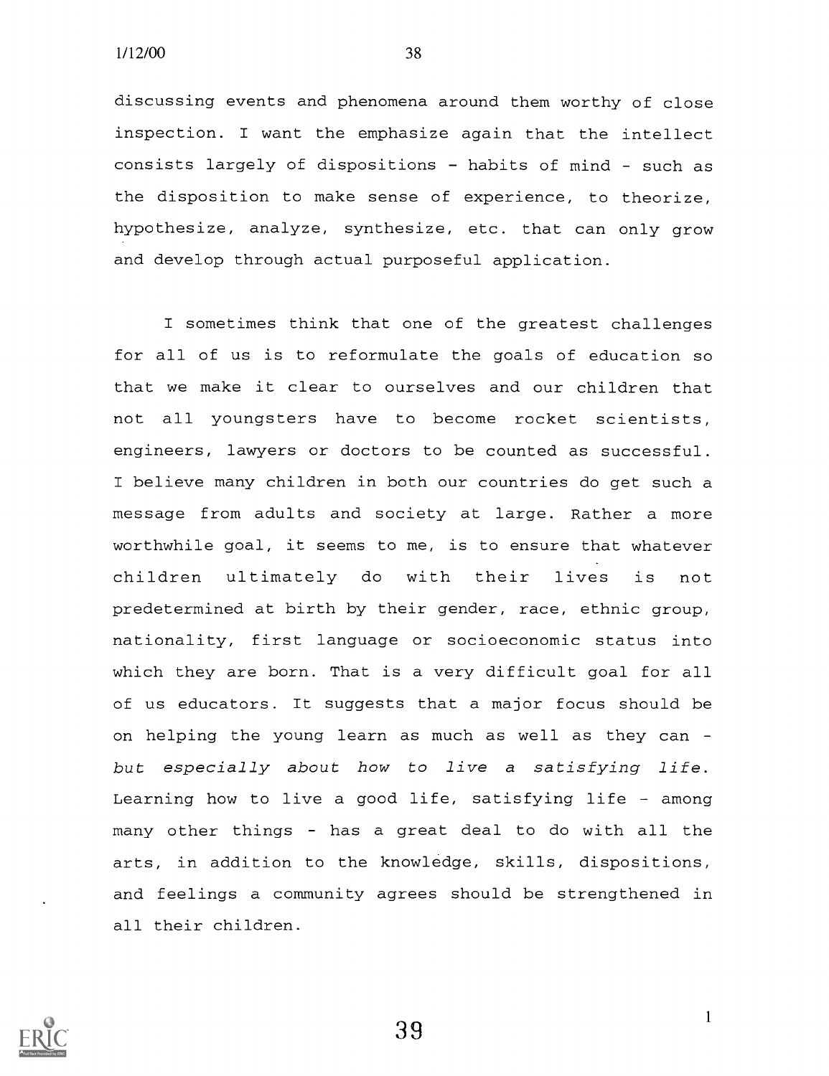discussing events and phenomena around them worthy of close inspection. I want the emphasize again that the intellect consists largely of dispositions - habits of mind - such as the disposition to make sense of experience, to theorize, hypothesize, analyze, synthesize, etc. that can only grow and develop through actual purposeful application.

I sometimes think that one of the greatest challenges for all of us is to reformulate the goals of education so that we make it clear to ourselves and our children that not all youngsters have to become rocket scientists, engineers, lawyers or doctors to be counted as successful. I believe many children in both our countries do get such a message from adults and society at large. Rather a more worthwhile goal, it seems to me, is to ensure that whatever children ultimately do with their lives is not predetermined at birth by their gender, race, ethnic group, nationality, first language or socioeconomic status into which they are born. That is a very difficult goal for all of us educators. It suggests that a major focus should be on helping the young learn as much as well as they can but especially about how to live <sup>a</sup> satisfying life. Learning how to live a good life, satisfying life  $-$  among many other things - has a great deal to do with all the arts, in addition to the knowledge, skills, dispositions, and feelings a community agrees should be strengthened in all their children.

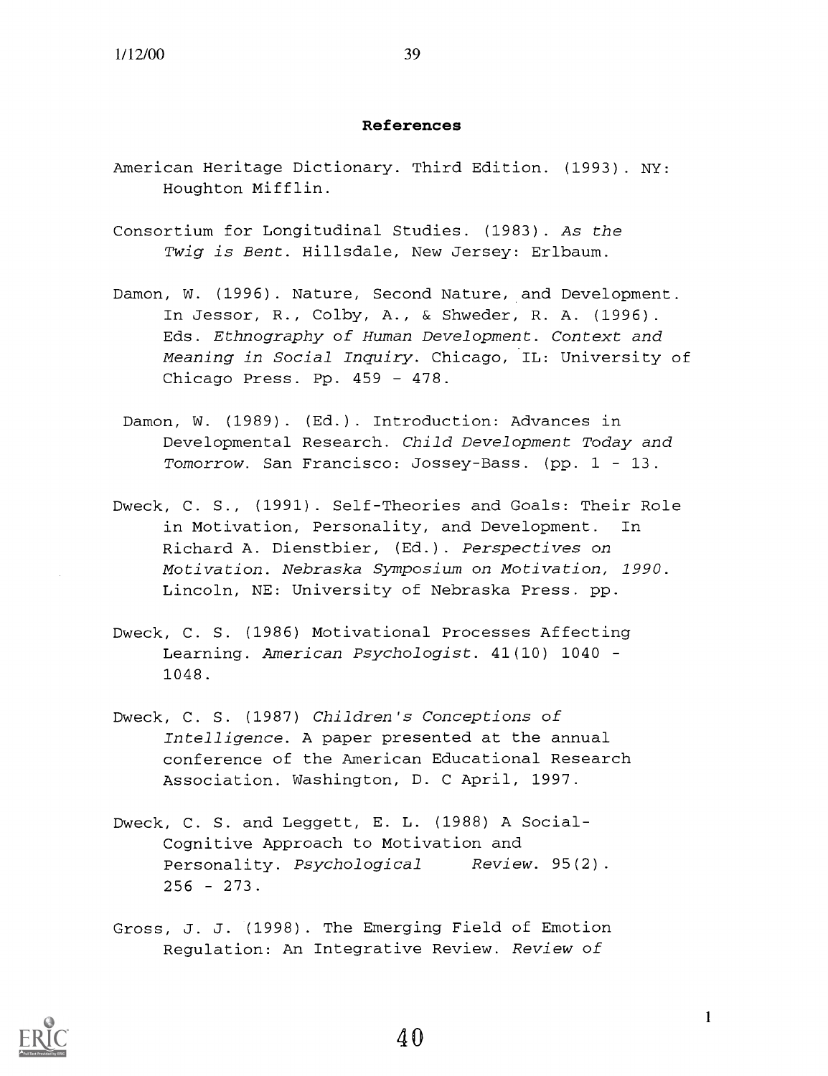#### References

- American Heritage Dictionary. Third Edition. (1993). NY: Houghton Mifflin.
- Consortium for Longitudinal Studies. (1983). As the Twig is Bent. Hillsdale, New Jersey: Erlbaum.
- Damon, W. (1996). Nature, Second Nature, and Development. In Jessor, R., Colby, A., & Shweder, R. A. (1996). Eds. Ethnography of Human Development. Context and Meaning in Social Inquiry. Chicago, IL: University of Chicago Press. Pp.  $459 - 478$ .
	- Damon, W. (1989). (Ed.). Introduction: Advances in Developmental Research. Child Development Today and Tomorrow. San Francisco: Jossey-Bass. (pp.  $1 - 13$ .
- Dweck, C. S., (1991). Self-Theories and Goals: Their Role in Motivation, Personality, and Development. In Richard A. Dienstbier, (Ed.). Perspectives on Motivation. Nebraska Symposium on Motivation, 1990. Lincoln, NE: University of Nebraska Press. pp.
- Dweck, C. S. (1986) Motivational Processes Affecting Learning. American Psychologist. 41(10) 1040 -1048.
- Dweck, C. S. (1987) Children's Conceptions of Intelligence. A paper presented at the annual conference of the American Educational Research Association. Washington, D. C April, 1997.
- Dweck, C. S. and Leggett, E. L. (1988) A Social-Cognitive Approach to Motivation and Personality. Psychological Review. 95(2).  $256 - 273$ .
- Gross, J. J. (1998). The Emerging Field of Emotion Regulation: An Integrative Review. Review of



 $\mathbf{1}$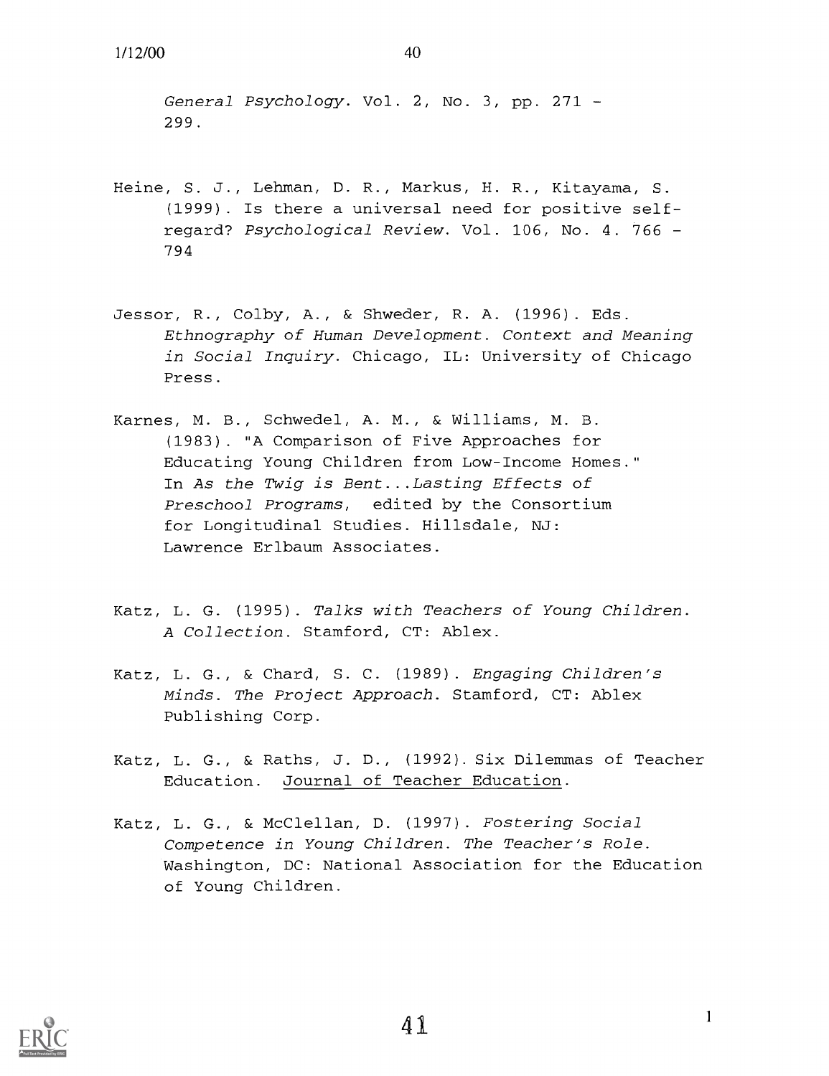General Psychology. Vol. 2, No. 3, pp. 271 299.

- Heine, S. J., Lehman, D. R., Markus, H. R., Kitayama, S. (1999). Is there a universal need for positive selfregard? Psychological Review. Vol. 106, No. 4. 766 794
- Jessor, R., Colby, A., & Shweder, R. A. (1996). Eds. Ethnography of Human Development. Context and Meaning in Social Inquiry. Chicago, IL: University of Chicago Press.
- Karnes, M. B., Schwedel, A. M., & Williams, M. B. (1983). "A Comparison of Five Approaches for Educating Young Children from Low-Income Homes." In As the Twig is Bent...Lasting Effects of Preschool Programs, edited by the Consortium for Longitudinal Studies. Hillsdale, NJ: Lawrence Erlbaum Associates.
- Katz, L. G. (1995). Talks with Teachers of Young Children. A Collection. Stamford, CT: Ablex.
- Katz, L. G., & Chard, S. C. (1989). Engaging Children's Minds. The Project Approach. Stamford, CT: Ablex Publishing Corp.
- Katz, L. G., & Raths, J. D., (1992). Six Dilemmas of Teacher Education. Journal of Teacher Education.
- Katz, L. G., & McClellan, D. (1997). Fostering Social Competence in Young Children. The Teacher's Role. Washington, DC: National Association for the Education of Young Children.

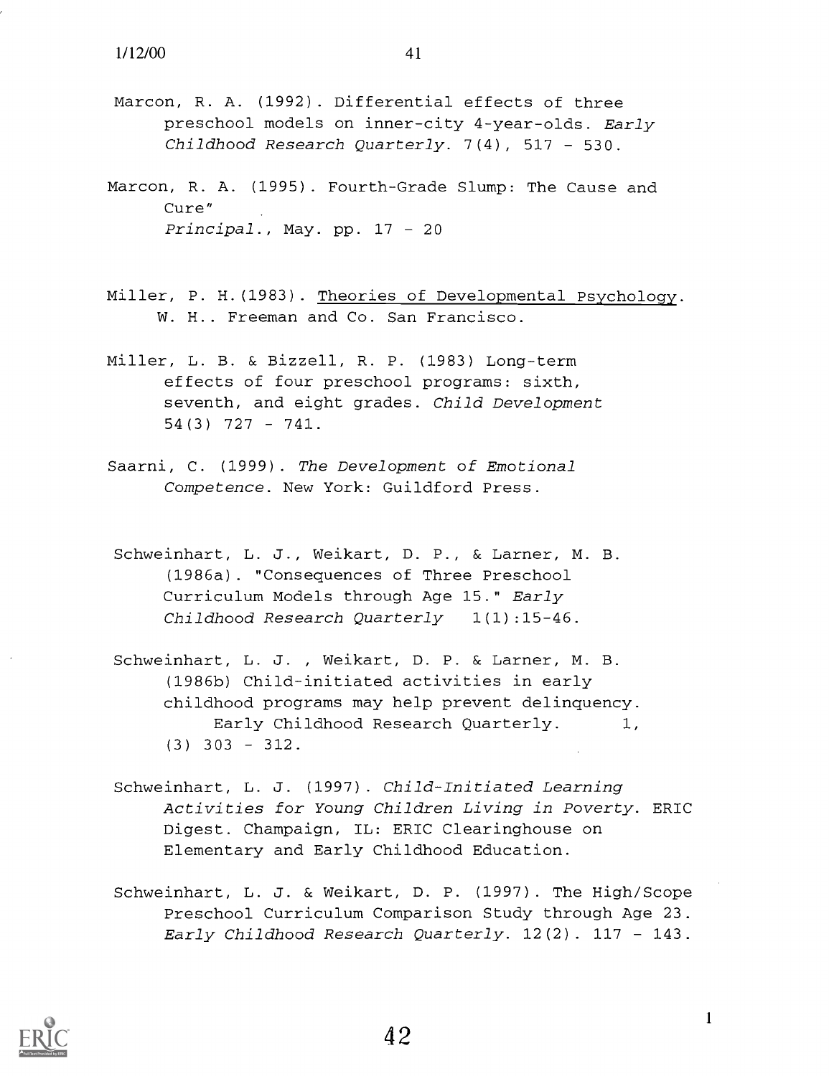- Marcon, R. A. (1992). Differential effects of three preschool models on inner-city 4-year-olds. Early Childhood Research Quarterly.  $7(4)$ , 517 - 530.
- Marcon, R. A. (1995). Fourth-Grade Slump: The Cause and Cure" Principal., May. pp.  $17 - 20$
- Miller, P. H.(1983). Theories of Developmental Psychology. W. H.. Freeman and Co. San Francisco.
- Miller, L. B. & Bizzell, R. P. (1983) Long-term effects of four preschool programs: sixth, seventh, and eight grades. Child Development  $54(3)$  727 - 741.
- Saarni, C. (1999). The Development of Emotional Competence. New York: Guildford Press.
- Schweinhart, L. J., Weikart, D. P., & Larner, M. B. (1986a). "Consequences of Three Preschool Curriculum Models through Age 15." Early Childhood Research Quarterly 1(1):15-46.
- Schweinhart, L. J. , Weikart, D. P. & Larner, M. B. (1986b) Child-initiated activities in early childhood programs may help prevent delinquency. Early Childhood Research Quarterly. 1,  $(3)$  303 - 312.
- Schweinhart, L. J. (1997). Child-Initiated Learning Activities for Young Children Living in Poverty. ERIC Digest. Champaign, IL: ERIC Clearinghouse on Elementary and Early Childhood Education.
- Schweinhart, L. J. & Weikart, D. P. (1997). The High/Scope Preschool Curriculum Comparison Study through Age 23. Early Childhood Research Quarterly.  $12(2)$ .  $117 - 143$ .



 $\mathbf{1}$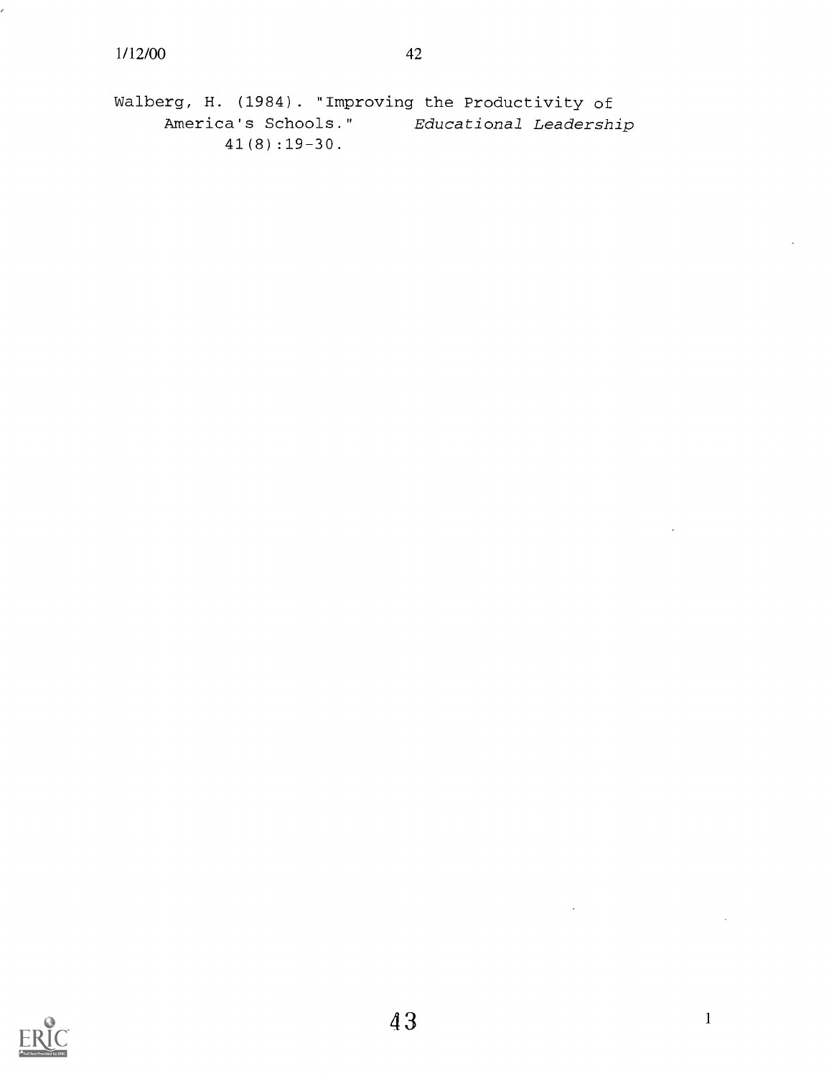Walberg, H. (1984). "Improving the Productivity of<br>America's Schools." Educational Leadersh: Educational Leadership 41(8):19-30.

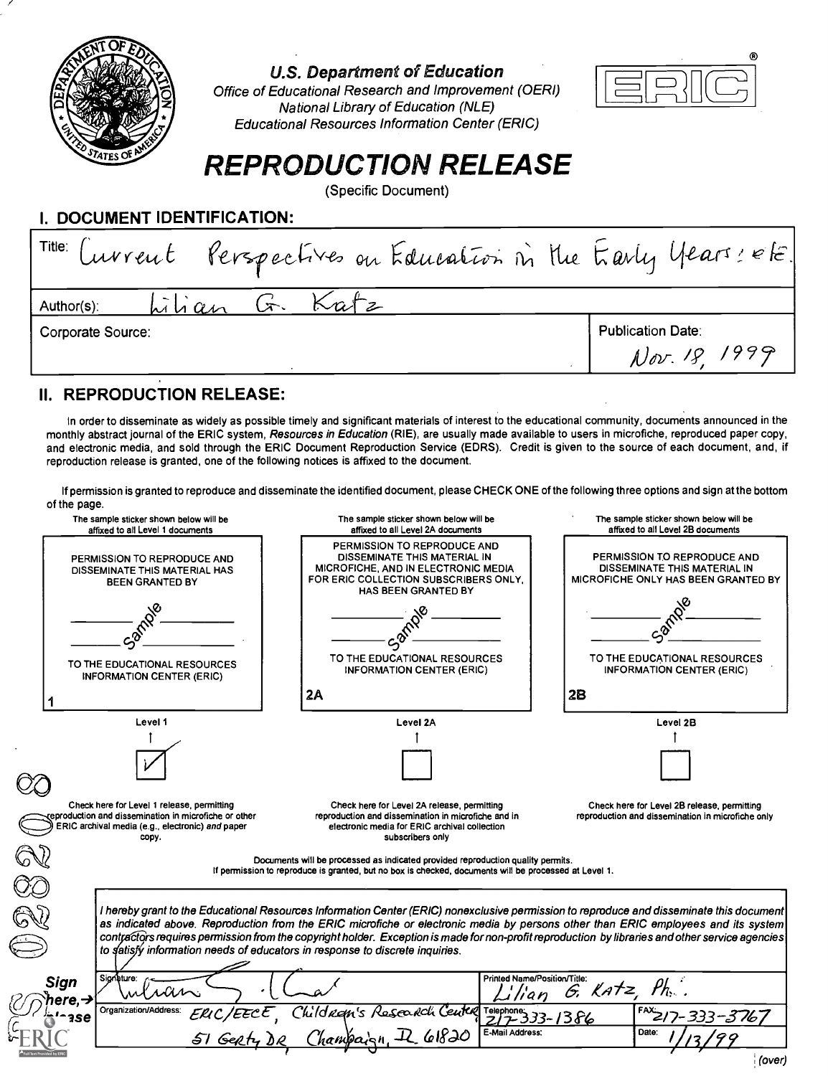

U.S. Department of Education

Office of Educational Research and Improvement (OERI) National Library of Education (NLE) Educational Resources Information Center (ERIC)



# REPRODUCTION RELEASE

(Specific Document)

I. DOCUMENT IDENTIFICATION:

### II. REPRODUCTION RELEASE:

In order to disseminate as widely as possible timely and significant materials of interest to the educational community, documents announced in the monthly abstract journal of the ERIC system, Resources in Education (RIE), are usually made available to users in microfiche, reproduced paper copy, and electronic media, and sold through the ERIC Document Reproduction Service (EDRS). Credit is given to the source of each document, and, if reproduction release is granted, one of the following notices is affixed to the document.

If permission is granted to reproduce and disseminate the identified document, please CHECK ONE of the following three options and sign at the bottom of the page.

|                           | The sample sticker shown below will be<br>affixed to all Level 1 documents                                                                                      | The sample sticker shown below will be<br>affixed to all Level 2A documents                                                                                                                                                      | The sample sticker shown below will be<br>affixed to all Level 2B documents                                                       |  |
|---------------------------|-----------------------------------------------------------------------------------------------------------------------------------------------------------------|----------------------------------------------------------------------------------------------------------------------------------------------------------------------------------------------------------------------------------|-----------------------------------------------------------------------------------------------------------------------------------|--|
|                           | PERMISSION TO REPRODUCE AND<br>DISSEMINATE THIS MATERIAL HAS<br><b>BEEN GRANTED BY</b>                                                                          | PERMISSION TO REPRODUCE AND<br>DISSEMINATE THIS MATERIAL IN<br>MICROFICHE, AND IN ELECTRONIC MEDIA<br>FOR ERIC COLLECTION SUBSCRIBERS ONLY.<br><b>HAS BEEN GRANTED BY</b>                                                        | PERMISSION TO REPRODUCE AND<br>DISSEMINATE THIS MATERIAL IN<br>MICROFICHE ONLY HAS BEEN GRANTED BY                                |  |
|                           | TO THE EDUCATIONAL RESOURCES                                                                                                                                    | TO THE EDUCATIONAL RESOURCES<br><b>INFORMATION CENTER (ERIC)</b>                                                                                                                                                                 | TO THE EDUCATIONAL RESOURCES<br>INFORMATION CENTER (ERIC)                                                                         |  |
|                           | <b>INFORMATION CENTER (ERIC)</b>                                                                                                                                | <b>2A</b>                                                                                                                                                                                                                        | 2B                                                                                                                                |  |
|                           | Level 1                                                                                                                                                         | Level 2A                                                                                                                                                                                                                         | Level 2B                                                                                                                          |  |
|                           |                                                                                                                                                                 |                                                                                                                                                                                                                                  |                                                                                                                                   |  |
|                           | Check here for Level 1 release, permitting<br>eproduction and dissemination in microfiche or other<br>ERIC archival media (e.g., electronic) and paper<br>copy. | Check here for Level 2A release, permitting<br>reproduction and dissemination in microfiche and in<br>electronic media for ERIC archival collection<br>subscribers only                                                          | Check here for Level 2B release, permitting<br>reproduction and dissemination in microfiche only                                  |  |
|                           |                                                                                                                                                                 | Documents will be processed as indicated provided reproduction quality permits.<br>If permission to reproduce is granted, but no box is checked, documents will be processed at Level 1.                                         |                                                                                                                                   |  |
|                           |                                                                                                                                                                 | I hereby grant to the Educational Resources Information Center (ERIC) nonexclusive permission to reproduce and disseminate this document                                                                                         | as indicated above. Reproduction from the ERIC microfiche or electronic media by persons other than ERIC employees and its system |  |
|                           |                                                                                                                                                                 | contractors requires permission from the copyright holder. Exception is made for non-profit reproduction by libraries and other service agencies<br>to satisfy information needs of educators in response to discrete inquiries. |                                                                                                                                   |  |
| Signature:<br><b>Sign</b> | whan                                                                                                                                                            | Printed Name/Position/Title:                                                                                                                                                                                                     | $\mathcal{P}_{h}$ .<br>$6.$ Katz                                                                                                  |  |
| here.→<br>3Se             | Organization/Address:<br>ERIC/EECE                                                                                                                              | Childran's Research Center Telephone<br>E-Mail Address:                                                                                                                                                                          | FAX217-333-3767<br>$33 - 1386$<br>Date:                                                                                           |  |